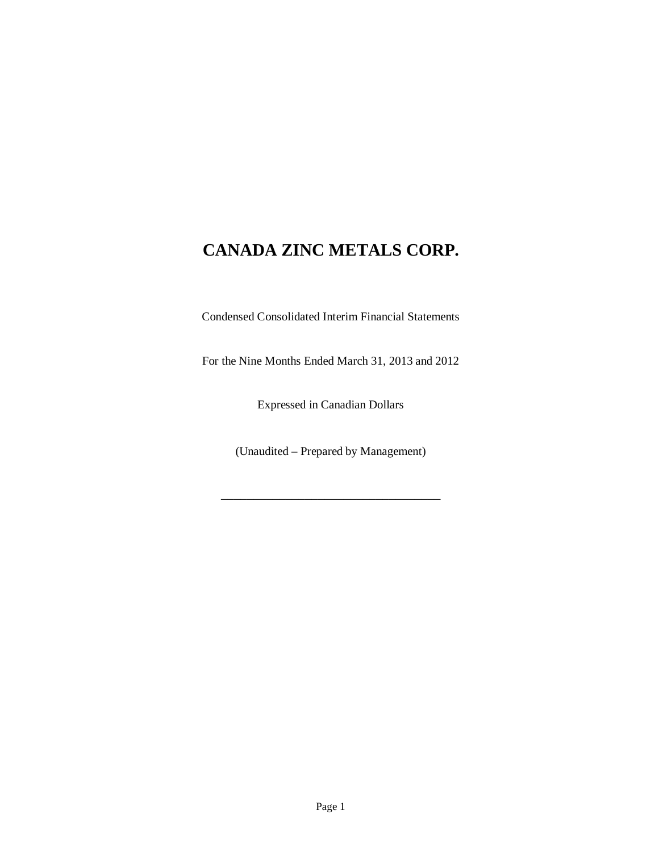Condensed Consolidated Interim Financial Statements

For the Nine Months Ended March 31, 2013 and 2012

Expressed in Canadian Dollars

(Unaudited – Prepared by Management)

\_\_\_\_\_\_\_\_\_\_\_\_\_\_\_\_\_\_\_\_\_\_\_\_\_\_\_\_\_\_\_\_\_\_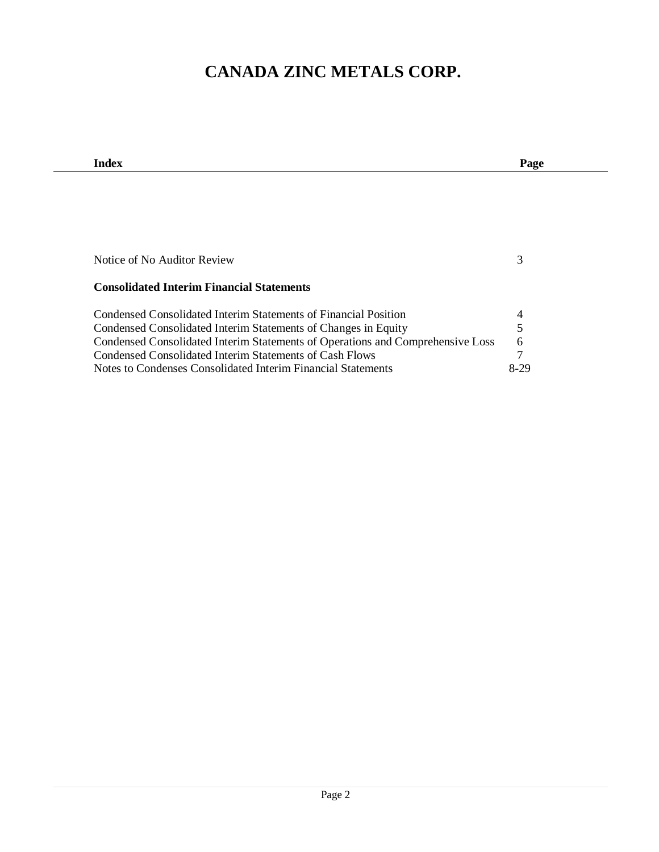| Index                                                                          | Page |
|--------------------------------------------------------------------------------|------|
|                                                                                |      |
|                                                                                |      |
|                                                                                |      |
|                                                                                |      |
|                                                                                |      |
|                                                                                |      |
| Notice of No Auditor Review                                                    | 3    |
|                                                                                |      |
| <b>Consolidated Interim Financial Statements</b>                               |      |
| Condensed Consolidated Interim Statements of Financial Position                | 4    |
| Condensed Consolidated Interim Statements of Changes in Equity                 | 5    |
| Condensed Consolidated Interim Statements of Operations and Comprehensive Loss | 6    |
| Condensed Consolidated Interim Statements of Cash Flows                        | 7    |
| Notes to Condenses Consolidated Interim Financial Statements                   | 8-29 |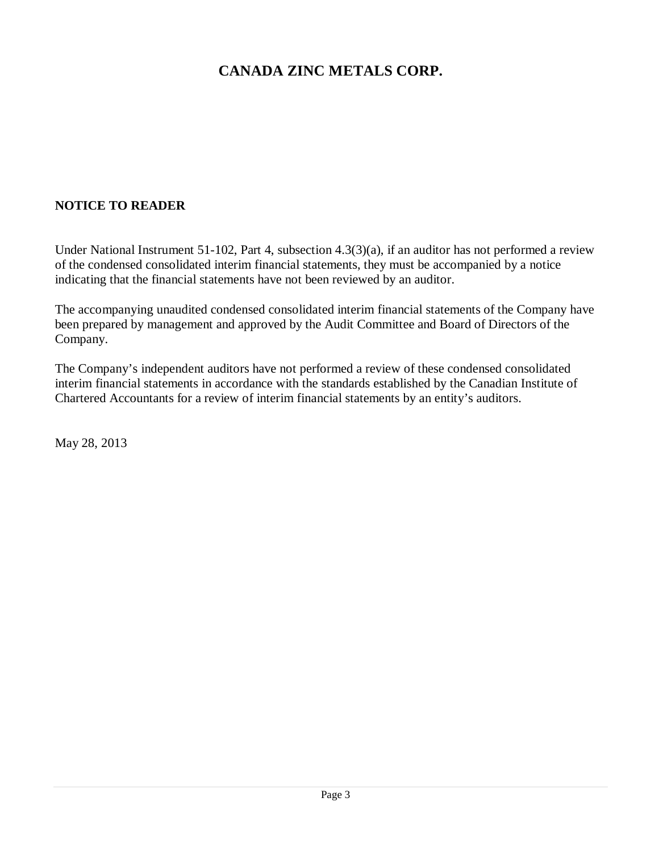## **NOTICE TO READER**

Under National Instrument 51-102, Part 4, subsection 4.3(3)(a), if an auditor has not performed a review of the condensed consolidated interim financial statements, they must be accompanied by a notice indicating that the financial statements have not been reviewed by an auditor.

The accompanying unaudited condensed consolidated interim financial statements of the Company have been prepared by management and approved by the Audit Committee and Board of Directors of the Company.

The Company's independent auditors have not performed a review of these condensed consolidated interim financial statements in accordance with the standards established by the Canadian Institute of Chartered Accountants for a review of interim financial statements by an entity's auditors.

May 28, 2013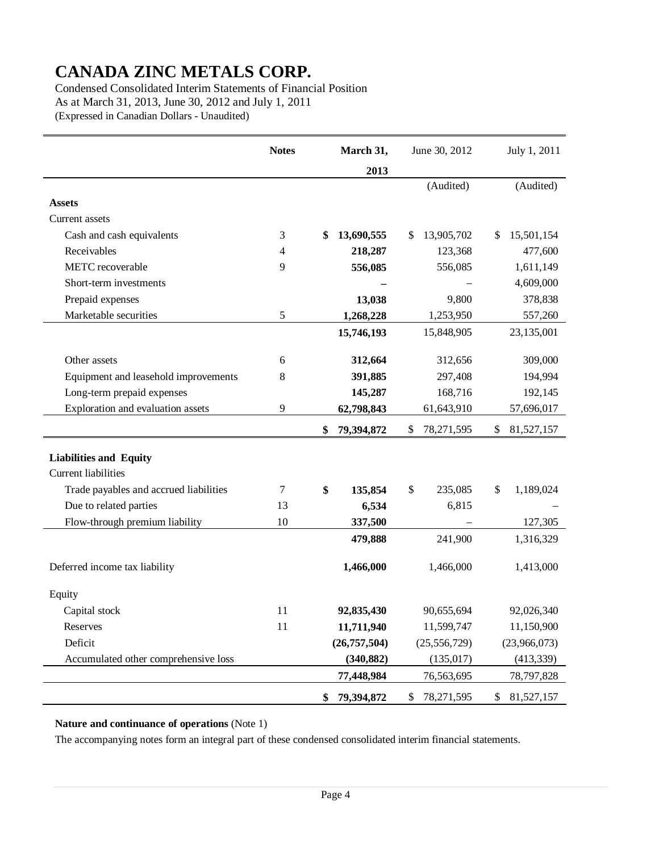Condensed Consolidated Interim Statements of Financial Position As at March 31, 2013, June 30, 2012 and July 1, 2011 (Expressed in Canadian Dollars - Unaudited)

|                                        | June 30, 2012<br><b>Notes</b><br>March 31, |                  |                    | July 1, 2011     |
|----------------------------------------|--------------------------------------------|------------------|--------------------|------------------|
|                                        |                                            | 2013             |                    |                  |
|                                        |                                            |                  | (Audited)          | (Audited)        |
| <b>Assets</b>                          |                                            |                  |                    |                  |
| Current assets                         |                                            |                  |                    |                  |
| Cash and cash equivalents              | 3                                          | 13,690,555<br>\$ | 13,905,702<br>\$   | 15,501,154<br>\$ |
| Receivables                            | 4                                          | 218,287          | 123,368            | 477,600          |
| METC recoverable                       | 9                                          | 556,085          | 556,085            | 1,611,149        |
| Short-term investments                 |                                            |                  |                    | 4,609,000        |
| Prepaid expenses                       |                                            | 13,038           | 9,800              | 378,838          |
| Marketable securities                  | 5                                          | 1,268,228        | 1,253,950          | 557,260          |
|                                        |                                            | 15,746,193       | 15,848,905         | 23,135,001       |
|                                        |                                            |                  |                    |                  |
| Other assets                           | 6                                          | 312,664          | 312,656            | 309,000          |
| Equipment and leasehold improvements   | 8                                          | 391,885          | 297,408            | 194,994          |
| Long-term prepaid expenses             |                                            | 145,287          | 168,716            | 192,145          |
| Exploration and evaluation assets      | 9                                          | 62,798,843       | 61,643,910         | 57,696,017       |
|                                        |                                            | 79,394,872<br>\$ | \$<br>78, 271, 595 | 81,527,157<br>\$ |
| <b>Liabilities and Equity</b>          |                                            |                  |                    |                  |
| <b>Current liabilities</b>             |                                            |                  |                    |                  |
| Trade payables and accrued liabilities | 7                                          | \$<br>135,854    | \$<br>235,085      | \$<br>1,189,024  |
| Due to related parties                 | 13                                         | 6,534            | 6,815              |                  |
| Flow-through premium liability         | 10                                         | 337,500          |                    | 127,305          |
|                                        |                                            | 479,888          | 241,900            | 1,316,329        |
|                                        |                                            |                  |                    |                  |
| Deferred income tax liability          |                                            | 1,466,000        | 1,466,000          | 1,413,000        |
| Equity                                 |                                            |                  |                    |                  |
| Capital stock                          | 11                                         | 92,835,430       | 90,655,694         | 92,026,340       |
| Reserves                               | 11                                         | 11,711,940       | 11,599,747         | 11,150,900       |
| Deficit                                |                                            | (26, 757, 504)   | (25, 556, 729)     | (23,966,073)     |
| Accumulated other comprehensive loss   |                                            | (340, 882)       | (135, 017)         | (413, 339)       |
|                                        |                                            | 77,448,984       | 76,563,695         | 78,797,828       |
|                                        |                                            | 79,394,872<br>\$ | \$<br>78,271,595   | \$<br>81,527,157 |

### **Nature and continuance of operations** (Note 1)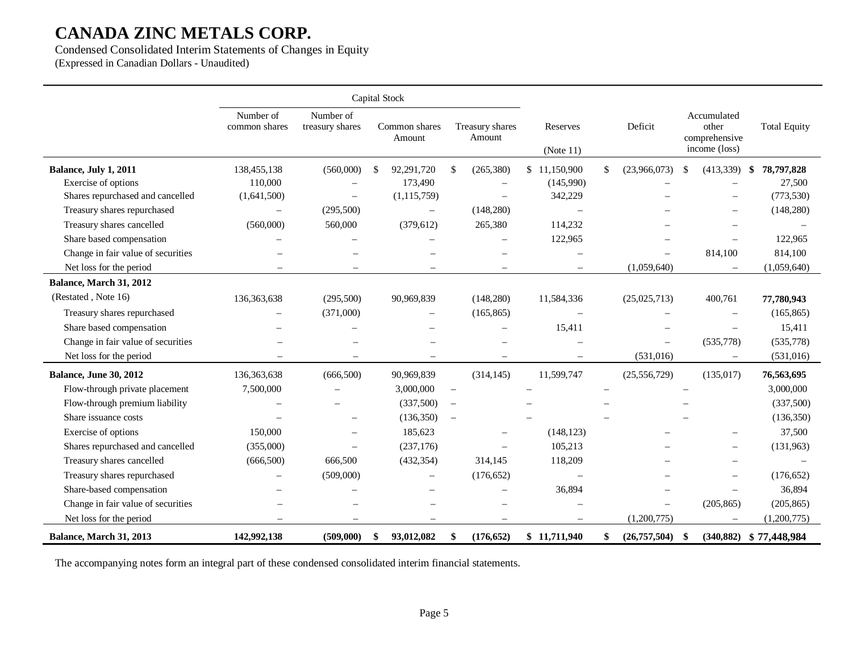Condensed Consolidated Interim Statements of Changes in Equity (Expressed in Canadian Dollars - Unaudited)

|                                    |                            |                              | Capital Stock            |                           |                          |                          |                                                        |                        |
|------------------------------------|----------------------------|------------------------------|--------------------------|---------------------------|--------------------------|--------------------------|--------------------------------------------------------|------------------------|
|                                    | Number of<br>common shares | Number of<br>treasury shares | Common shares<br>Amount  | Treasury shares<br>Amount | Reserves<br>(Note 11)    | Deficit                  | Accumulated<br>other<br>comprehensive<br>income (loss) | <b>Total Equity</b>    |
| Balance, July 1, 2011              | 138,455,138                | (560,000)                    | 92,291,720<br>-S         | (265, 380)<br>\$          | 11,150,900<br>\$         | \$<br>(23,966,073)       | (413,339)<br>\$                                        | 78,797,828<br>-\$      |
| Exercise of options                | 110,000                    |                              | 173,490                  | $\overline{\phantom{0}}$  | (145,990)                |                          |                                                        | 27,500                 |
| Shares repurchased and cancelled   | (1,641,500)                | $\overline{\phantom{0}}$     | (1, 115, 759)            |                           | 342,229                  |                          |                                                        | (773, 530)             |
| Treasury shares repurchased        | $\overline{\phantom{0}}$   | (295,500)                    | $\overline{\phantom{m}}$ | (148, 280)                | $\sim$                   |                          |                                                        | (148, 280)             |
| Treasury shares cancelled          | (560,000)                  | 560,000                      | (379, 612)               | 265,380                   | 114,232                  |                          |                                                        |                        |
| Share based compensation           |                            |                              |                          |                           | 122,965                  |                          |                                                        | 122,965                |
| Change in fair value of securities |                            |                              |                          |                           | $\sim$                   |                          | 814,100                                                | 814,100                |
| Net loss for the period            |                            |                              | $\equiv$                 | $\equiv$                  | $\qquad \qquad -$        | (1,059,640)              |                                                        | (1,059,640)            |
| Balance, March 31, 2012            |                            |                              |                          |                           |                          |                          |                                                        |                        |
| (Restated, Note 16)                | 136,363,638                | (295,500)                    | 90,969,839               | (148, 280)                | 11,584,336               | (25,025,713)             | 400,761                                                | 77,780,943             |
| Treasury shares repurchased        |                            | (371,000)                    | $\overline{\phantom{0}}$ | (165, 865)                |                          |                          |                                                        | (165, 865)             |
| Share based compensation           |                            |                              |                          |                           | 15,411                   |                          |                                                        | 15,411                 |
| Change in fair value of securities |                            |                              |                          |                           |                          | $\overline{\phantom{0}}$ | (535,778)                                              | (535,778)              |
| Net loss for the period            | $\overline{\phantom{m}}$   | $\overline{\phantom{m}}$     | $\overline{\phantom{0}}$ | $\overline{\phantom{m}}$  | $\overline{\phantom{m}}$ | (531, 016)               | $\overline{\phantom{m}}$                               | (531,016)              |
| <b>Balance, June 30, 2012</b>      | 136,363,638                | (666, 500)                   | 90,969,839               | (314, 145)                | 11,599,747               | (25, 556, 729)           | (135, 017)                                             | 76,563,695             |
| Flow-through private placement     | 7,500,000                  |                              | 3,000,000                | $\overline{\phantom{m}}$  |                          |                          |                                                        | 3,000,000              |
| Flow-through premium liability     |                            |                              | (337,500)                | $\overline{\phantom{m}}$  |                          |                          |                                                        | (337,500)              |
| Share issuance costs               |                            |                              | (136, 350)               | $\equiv$                  |                          |                          |                                                        | (136, 350)             |
| Exercise of options                | 150,000                    |                              | 185,623                  |                           | (148, 123)               |                          |                                                        | 37,500                 |
| Shares repurchased and cancelled   | (355,000)                  |                              | (237, 176)               |                           | 105,213                  |                          |                                                        | (131,963)              |
| Treasury shares cancelled          | (666, 500)                 | 666,500                      | (432, 354)               | 314,145                   | 118,209                  |                          |                                                        |                        |
| Treasury shares repurchased        |                            | (509,000)                    | $\overline{\phantom{0}}$ | (176, 652)                | $\sim$                   |                          |                                                        | (176, 652)             |
| Share-based compensation           |                            |                              |                          |                           | 36,894                   |                          |                                                        | 36,894                 |
| Change in fair value of securities |                            |                              |                          |                           |                          | $\overline{\phantom{0}}$ | (205, 865)                                             | (205, 865)             |
| Net loss for the period            | $\sim$                     |                              | $\overline{\phantom{0}}$ |                           | $\overline{\phantom{m}}$ | (1,200,775)              | $\overline{\phantom{m}}$                               | (1,200,775)            |
| Balance, March 31, 2013            | 142,992,138                | (509,000)                    | 93,012,082<br>\$         | \$<br>(176, 652)          | \$11,711,940             | (26,757,504)             | -\$                                                    | (340,882) \$77,448,984 |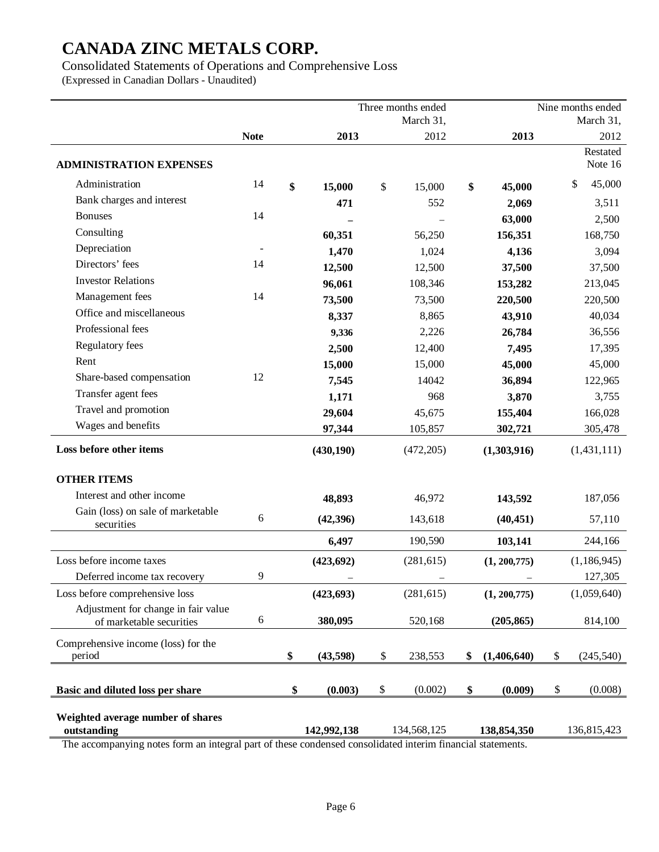Consolidated Statements of Operations and Comprehensive Loss

(Expressed in Canadian Dollars - Unaudited)

|                                                                 |             | Three months ended | Nine months ended |    |               |    |                     |
|-----------------------------------------------------------------|-------------|--------------------|-------------------|----|---------------|----|---------------------|
|                                                                 |             |                    | March 31,         |    |               |    | March 31,           |
|                                                                 | <b>Note</b> | 2013               | 2012              |    | 2013          |    | 2012                |
| <b>ADMINISTRATION EXPENSES</b>                                  |             |                    |                   |    |               |    | Restated<br>Note 16 |
| Administration                                                  | 14          | \$<br>15,000       | \$<br>15,000      | \$ | 45,000        |    | 45,000<br>\$        |
| Bank charges and interest                                       |             | 471                | 552               |    | 2,069         |    | 3,511               |
| <b>Bonuses</b>                                                  | 14          |                    |                   |    | 63,000        |    | 2,500               |
| Consulting                                                      |             | 60,351             | 56,250            |    | 156,351       |    | 168,750             |
| Depreciation                                                    |             | 1,470              | 1,024             |    | 4,136         |    | 3,094               |
| Directors' fees                                                 | 14          | 12,500             | 12,500            |    | 37,500        |    | 37,500              |
| <b>Investor Relations</b>                                       |             | 96,061             | 108,346           |    | 153,282       |    | 213,045             |
| Management fees                                                 | 14          | 73,500             | 73,500            |    | 220,500       |    | 220,500             |
| Office and miscellaneous                                        |             | 8,337              | 8,865             |    | 43,910        |    | 40,034              |
| Professional fees                                               |             | 9,336              | 2,226             |    | 26,784        |    | 36,556              |
| Regulatory fees                                                 |             | 2,500              | 12,400            |    | 7,495         |    | 17,395              |
| Rent                                                            |             | 15,000             | 15,000            |    | 45,000        |    | 45,000              |
| Share-based compensation                                        | 12          | 7,545              | 14042             |    | 36,894        |    | 122,965             |
| Transfer agent fees                                             |             | 1,171              | 968               |    | 3,870         |    | 3,755               |
| Travel and promotion                                            |             | 29,604             | 45,675            |    | 155,404       |    | 166,028             |
| Wages and benefits                                              |             | 97,344             | 105,857           |    | 302,721       |    | 305,478             |
| Loss before other items                                         |             | (430, 190)         | (472, 205)        |    | (1,303,916)   |    | (1,431,111)         |
| <b>OTHER ITEMS</b>                                              |             |                    |                   |    |               |    |                     |
| Interest and other income                                       |             | 48,893             | 46,972            |    | 143,592       |    | 187,056             |
| Gain (loss) on sale of marketable<br>securities                 | 6           | (42, 396)          | 143,618           |    | (40, 451)     |    | 57,110              |
|                                                                 |             | 6,497              | 190,590           |    | 103,141       |    | 244,166             |
| Loss before income taxes                                        |             | (423, 692)         | (281, 615)        |    | (1, 200, 775) |    | (1, 186, 945)       |
| Deferred income tax recovery                                    | 9           |                    |                   |    |               |    | 127,305             |
| Loss before comprehensive loss                                  |             | (423, 693)         | (281, 615)        |    | (1, 200, 775) |    | (1,059,640)         |
| Adjustment for change in fair value<br>of marketable securities | 6           | 380,095            | 520,168           |    | (205, 865)    |    | 814,100             |
| Comprehensive income (loss) for the<br>period                   |             | \$<br>(43,598)     | \$<br>238,553     | \$ | (1,406,640)   | \$ | (245, 540)          |
| Basic and diluted loss per share                                |             | \$<br>(0.003)      | \$<br>(0.002)     | \$ | (0.009)       | \$ | (0.008)             |
| Weighted average number of shares<br>outstanding                |             | 142,992,138        | 134,568,125       |    | 138,854,350   |    | 136,815,423         |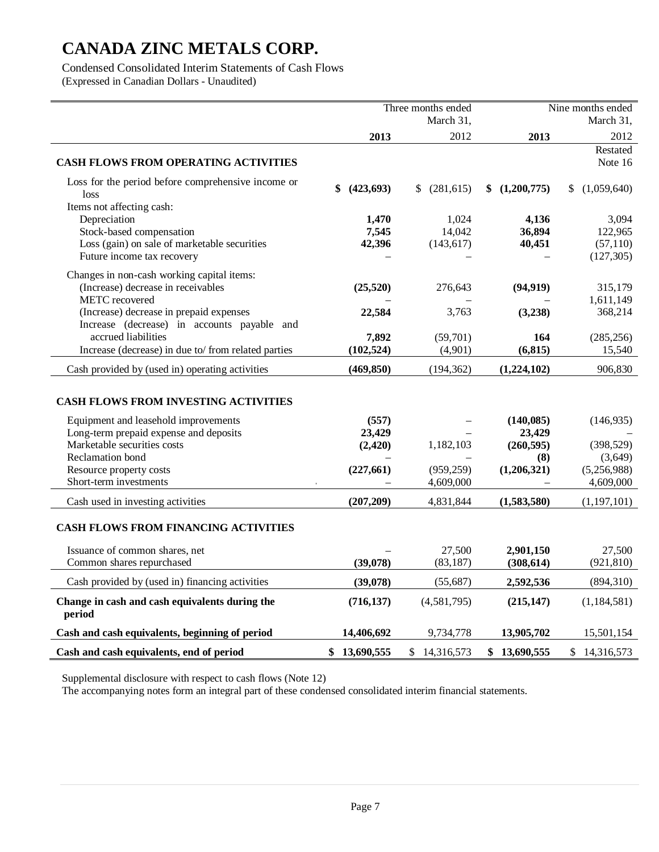Condensed Consolidated Interim Statements of Cash Flows (Expressed in Canadian Dollars - Unaudited)

|                                                                                                    |              | Three months ended |               | Nine months ended    |  |
|----------------------------------------------------------------------------------------------------|--------------|--------------------|---------------|----------------------|--|
|                                                                                                    |              | March 31,          |               | March 31,            |  |
|                                                                                                    | 2013         | 2012               | 2013          | 2012                 |  |
| <b>CASH FLOWS FROM OPERATING ACTIVITIES</b>                                                        |              |                    |               | Restated<br>Note 16  |  |
| Loss for the period before comprehensive income or<br>loss<br>Items not affecting cash:            | (423, 693)   | (281, 615)<br>\$   | \$(1,200,775) | (1,059,640)<br>\$    |  |
| Depreciation                                                                                       | 1,470        | 1,024              | 4,136         | 3,094                |  |
| Stock-based compensation                                                                           | 7,545        | 14,042             | 36,894        | 122,965              |  |
| Loss (gain) on sale of marketable securities                                                       | 42,396       | (143, 617)         | 40,451        | (57, 110)            |  |
| Future income tax recovery                                                                         |              |                    |               | (127, 305)           |  |
| Changes in non-cash working capital items:<br>(Increase) decrease in receivables<br>METC recovered | (25, 520)    | 276,643            | (94, 919)     | 315,179<br>1,611,149 |  |
| (Increase) decrease in prepaid expenses                                                            | 22,584       | 3,763              | (3,238)       | 368,214              |  |
| Increase (decrease) in accounts payable and                                                        |              |                    |               |                      |  |
| accrued liabilities                                                                                | 7,892        | (59,701)           | 164           | (285, 256)           |  |
| Increase (decrease) in due to/from related parties                                                 | (102, 524)   | (4,901)            | (6, 815)      | 15,540               |  |
| Cash provided by (used in) operating activities                                                    | (469, 850)   | (194, 362)         | (1,224,102)   | 906,830              |  |
| <b>CASH FLOWS FROM INVESTING ACTIVITIES</b>                                                        |              |                    |               |                      |  |
| Equipment and leasehold improvements                                                               | (557)        |                    | (140, 085)    | (146, 935)           |  |
| Long-term prepaid expense and deposits                                                             | 23,429       |                    | 23,429        |                      |  |
| Marketable securities costs                                                                        | (2, 420)     | 1,182,103          | (260, 595)    | (398, 529)           |  |
| Reclamation bond                                                                                   |              |                    | (8)           | (3,649)              |  |
| Resource property costs                                                                            | (227, 661)   | (959, 259)         | (1,206,321)   | (5,256,988)          |  |
| Short-term investments                                                                             |              | 4,609,000          |               | 4,609,000            |  |
| Cash used in investing activities                                                                  | (207, 209)   | 4,831,844          | (1,583,580)   | (1, 197, 101)        |  |
| <b>CASH FLOWS FROM FINANCING ACTIVITIES</b>                                                        |              |                    |               |                      |  |
| Issuance of common shares, net                                                                     |              | 27,500             | 2,901,150     | 27,500               |  |
| Common shares repurchased                                                                          | (39,078)     | (83, 187)          | (308, 614)    | (921, 810)           |  |
| Cash provided by (used in) financing activities                                                    | (39,078)     | (55,687)           | 2,592,536     | (894,310)            |  |
| Change in cash and cash equivalents during the<br>period                                           | (716, 137)   | (4,581,795)        | (215, 147)    | (1, 184, 581)        |  |
| Cash and cash equivalents, beginning of period                                                     | 14,406,692   | 9,734,778          | 13,905,702    | 15,501,154           |  |
| Cash and cash equivalents, end of period                                                           | \$13,690,555 | \$14,316,573       | \$13,690,555  | \$14,316,573         |  |

Supplemental disclosure with respect to cash flows (Note 12)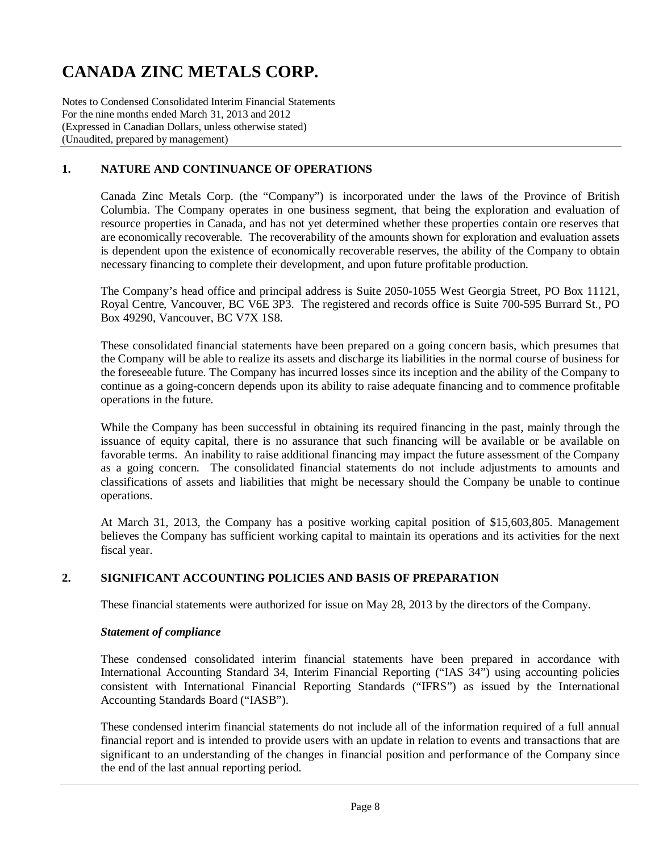Notes to Condensed Consolidated Interim Financial Statements For the nine months ended March 31, 2013 and 2012 (Expressed in Canadian Dollars, unless otherwise stated) (Unaudited, prepared by management)

### **1. NATURE AND CONTINUANCE OF OPERATIONS**

Canada Zinc Metals Corp. (the "Company") is incorporated under the laws of the Province of British Columbia. The Company operates in one business segment, that being the exploration and evaluation of resource properties in Canada, and has not yet determined whether these properties contain ore reserves that are economically recoverable. The recoverability of the amounts shown for exploration and evaluation assets is dependent upon the existence of economically recoverable reserves, the ability of the Company to obtain necessary financing to complete their development, and upon future profitable production.

The Company's head office and principal address is Suite 2050-1055 West Georgia Street, PO Box 11121, Royal Centre, Vancouver, BC V6E 3P3. The registered and records office is Suite 700-595 Burrard St., PO Box 49290, Vancouver, BC V7X 1S8.

These consolidated financial statements have been prepared on a going concern basis, which presumes that the Company will be able to realize its assets and discharge its liabilities in the normal course of business for the foreseeable future. The Company has incurred losses since its inception and the ability of the Company to continue as a going-concern depends upon its ability to raise adequate financing and to commence profitable operations in the future.

While the Company has been successful in obtaining its required financing in the past, mainly through the issuance of equity capital, there is no assurance that such financing will be available or be available on favorable terms. An inability to raise additional financing may impact the future assessment of the Company as a going concern. The consolidated financial statements do not include adjustments to amounts and classifications of assets and liabilities that might be necessary should the Company be unable to continue operations.

At March 31, 2013, the Company has a positive working capital position of \$15,603,805. Management believes the Company has sufficient working capital to maintain its operations and its activities for the next fiscal year.

### **2. SIGNIFICANT ACCOUNTING POLICIES AND BASIS OF PREPARATION**

These financial statements were authorized for issue on May 28, 2013 by the directors of the Company.

#### *Statement of compliance*

These condensed consolidated interim financial statements have been prepared in accordance with International Accounting Standard 34, Interim Financial Reporting ("IAS 34") using accounting policies consistent with International Financial Reporting Standards ("IFRS") as issued by the International Accounting Standards Board ("IASB").

These condensed interim financial statements do not include all of the information required of a full annual financial report and is intended to provide users with an update in relation to events and transactions that are significant to an understanding of the changes in financial position and performance of the Company since the end of the last annual reporting period.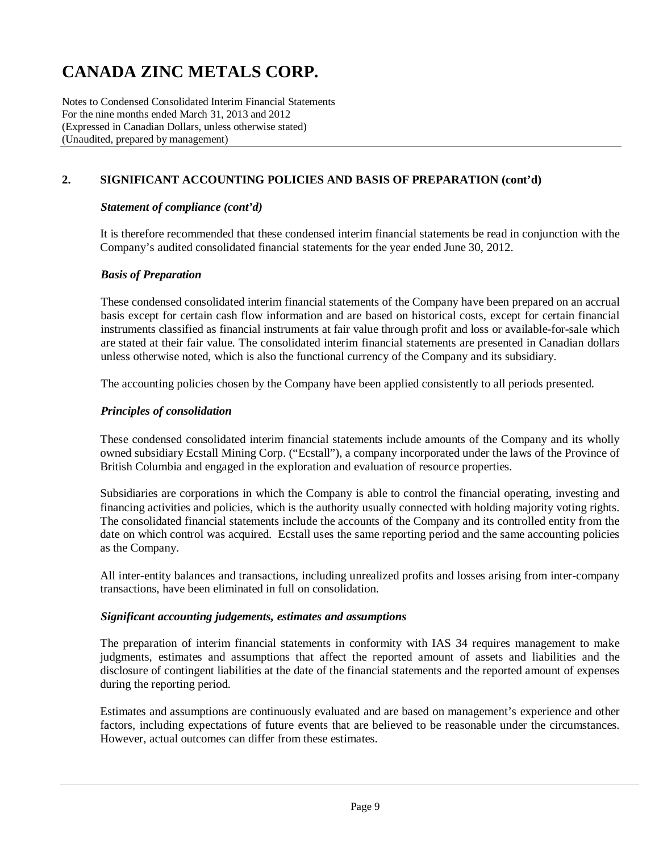Notes to Condensed Consolidated Interim Financial Statements For the nine months ended March 31, 2013 and 2012 (Expressed in Canadian Dollars, unless otherwise stated) (Unaudited, prepared by management)

## **2. SIGNIFICANT ACCOUNTING POLICIES AND BASIS OF PREPARATION (cont'd)**

#### *Statement of compliance (cont'd)*

It is therefore recommended that these condensed interim financial statements be read in conjunction with the Company's audited consolidated financial statements for the year ended June 30, 2012.

#### *Basis of Preparation*

These condensed consolidated interim financial statements of the Company have been prepared on an accrual basis except for certain cash flow information and are based on historical costs, except for certain financial instruments classified as financial instruments at fair value through profit and loss or available-for-sale which are stated at their fair value. The consolidated interim financial statements are presented in Canadian dollars unless otherwise noted, which is also the functional currency of the Company and its subsidiary.

The accounting policies chosen by the Company have been applied consistently to all periods presented.

#### *Principles of consolidation*

These condensed consolidated interim financial statements include amounts of the Company and its wholly owned subsidiary Ecstall Mining Corp. ("Ecstall"), a company incorporated under the laws of the Province of British Columbia and engaged in the exploration and evaluation of resource properties.

Subsidiaries are corporations in which the Company is able to control the financial operating, investing and financing activities and policies, which is the authority usually connected with holding majority voting rights. The consolidated financial statements include the accounts of the Company and its controlled entity from the date on which control was acquired. Ecstall uses the same reporting period and the same accounting policies as the Company.

All inter-entity balances and transactions, including unrealized profits and losses arising from inter-company transactions, have been eliminated in full on consolidation.

#### *Significant accounting judgements, estimates and assumptions*

The preparation of interim financial statements in conformity with IAS 34 requires management to make judgments, estimates and assumptions that affect the reported amount of assets and liabilities and the disclosure of contingent liabilities at the date of the financial statements and the reported amount of expenses during the reporting period.

Estimates and assumptions are continuously evaluated and are based on management's experience and other factors, including expectations of future events that are believed to be reasonable under the circumstances. However, actual outcomes can differ from these estimates.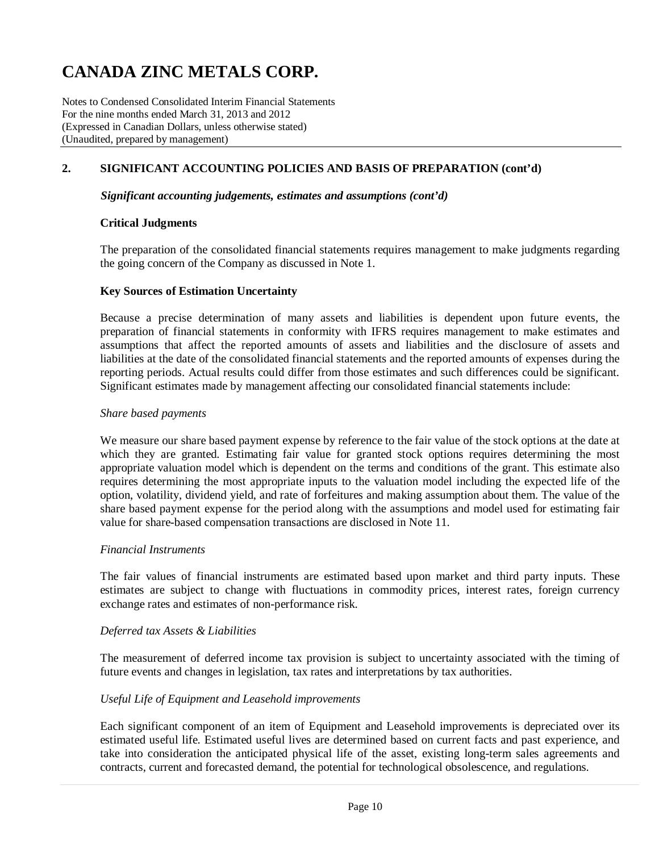Notes to Condensed Consolidated Interim Financial Statements For the nine months ended March 31, 2013 and 2012 (Expressed in Canadian Dollars, unless otherwise stated) (Unaudited, prepared by management)

### **2. SIGNIFICANT ACCOUNTING POLICIES AND BASIS OF PREPARATION (cont'd)**

#### *Significant accounting judgements, estimates and assumptions (cont'd)*

#### **Critical Judgments**

The preparation of the consolidated financial statements requires management to make judgments regarding the going concern of the Company as discussed in Note 1.

#### **Key Sources of Estimation Uncertainty**

Because a precise determination of many assets and liabilities is dependent upon future events, the preparation of financial statements in conformity with IFRS requires management to make estimates and assumptions that affect the reported amounts of assets and liabilities and the disclosure of assets and liabilities at the date of the consolidated financial statements and the reported amounts of expenses during the reporting periods. Actual results could differ from those estimates and such differences could be significant. Significant estimates made by management affecting our consolidated financial statements include:

#### *Share based payments*

We measure our share based payment expense by reference to the fair value of the stock options at the date at which they are granted. Estimating fair value for granted stock options requires determining the most appropriate valuation model which is dependent on the terms and conditions of the grant. This estimate also requires determining the most appropriate inputs to the valuation model including the expected life of the option, volatility, dividend yield, and rate of forfeitures and making assumption about them. The value of the share based payment expense for the period along with the assumptions and model used for estimating fair value for share-based compensation transactions are disclosed in Note 11.

#### *Financial Instruments*

The fair values of financial instruments are estimated based upon market and third party inputs. These estimates are subject to change with fluctuations in commodity prices, interest rates, foreign currency exchange rates and estimates of non-performance risk.

#### *Deferred tax Assets & Liabilities*

The measurement of deferred income tax provision is subject to uncertainty associated with the timing of future events and changes in legislation, tax rates and interpretations by tax authorities.

#### *Useful Life of Equipment and Leasehold improvements*

Each significant component of an item of Equipment and Leasehold improvements is depreciated over its estimated useful life. Estimated useful lives are determined based on current facts and past experience, and take into consideration the anticipated physical life of the asset, existing long-term sales agreements and contracts, current and forecasted demand, the potential for technological obsolescence, and regulations.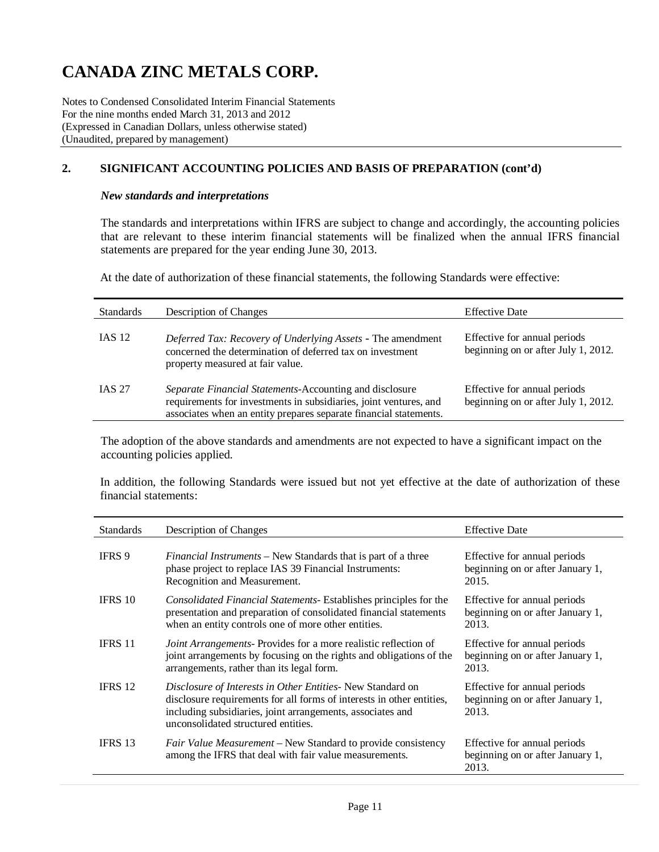Notes to Condensed Consolidated Interim Financial Statements For the nine months ended March 31, 2013 and 2012 (Expressed in Canadian Dollars, unless otherwise stated) (Unaudited, prepared by management)

### **2. SIGNIFICANT ACCOUNTING POLICIES AND BASIS OF PREPARATION (cont'd)**

#### *New standards and interpretations*

The standards and interpretations within IFRS are subject to change and accordingly, the accounting policies that are relevant to these interim financial statements will be finalized when the annual IFRS financial statements are prepared for the year ending June 30, 2013.

At the date of authorization of these financial statements, the following Standards were effective:

| <b>Standards</b> | Description of Changes                                                                                                                                                                            | <b>Effective Date</b>                                               |
|------------------|---------------------------------------------------------------------------------------------------------------------------------------------------------------------------------------------------|---------------------------------------------------------------------|
| <b>IAS 12</b>    | Deferred Tax: Recovery of Underlying Assets - The amendment<br>concerned the determination of deferred tax on investment<br>property measured at fair value.                                      | Effective for annual periods<br>beginning on or after July 1, 2012. |
| <b>IAS 27</b>    | Separate Financial Statements-Accounting and disclosure<br>requirements for investments in subsidiaries, joint ventures, and<br>associates when an entity prepares separate financial statements. | Effective for annual periods<br>beginning on or after July 1, 2012. |

The adoption of the above standards and amendments are not expected to have a significant impact on the accounting policies applied.

In addition, the following Standards were issued but not yet effective at the date of authorization of these financial statements:

| <b>Standards</b> | <b>Description of Changes</b>                                                                                                                                                                                                           | <b>Effective Date</b>                                                     |
|------------------|-----------------------------------------------------------------------------------------------------------------------------------------------------------------------------------------------------------------------------------------|---------------------------------------------------------------------------|
| IFRS 9           | <i>Financial Instruments</i> – New Standards that is part of a three<br>phase project to replace IAS 39 Financial Instruments:<br>Recognition and Measurement.                                                                          | Effective for annual periods<br>beginning on or after January 1,<br>2015. |
| <b>IFRS 10</b>   | <i>Consolidated Financial Statements-</i> Establishes principles for the<br>presentation and preparation of consolidated financial statements<br>when an entity controls one of more other entities.                                    | Effective for annual periods<br>beginning on or after January 1,<br>2013. |
| <b>IFRS 11</b>   | <i>Joint Arrangements-Provides for a more realistic reflection of</i><br>joint arrangements by focusing on the rights and obligations of the<br>arrangements, rather than its legal form.                                               | Effective for annual periods<br>beginning on or after January 1,<br>2013. |
| <b>IFRS 12</b>   | Disclosure of Interests in Other Entities-New Standard on<br>disclosure requirements for all forms of interests in other entities,<br>including subsidiaries, joint arrangements, associates and<br>unconsolidated structured entities. | Effective for annual periods<br>beginning on or after January 1,<br>2013. |
| <b>IFRS 13</b>   | <i>Fair Value Measurement</i> – New Standard to provide consistency<br>among the IFRS that deal with fair value measurements.                                                                                                           | Effective for annual periods<br>beginning on or after January 1,<br>2013. |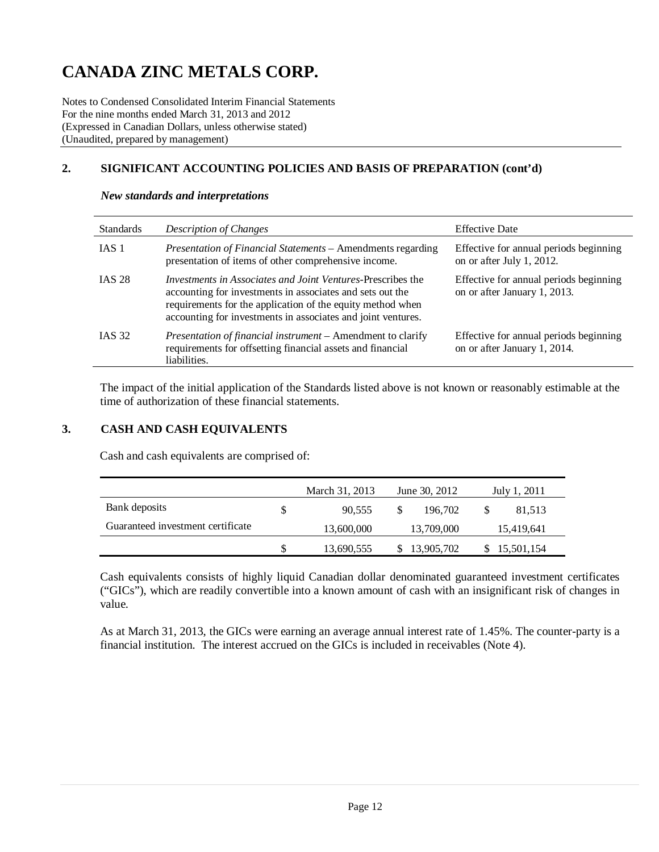Notes to Condensed Consolidated Interim Financial Statements For the nine months ended March 31, 2013 and 2012 (Expressed in Canadian Dollars, unless otherwise stated) (Unaudited, prepared by management)

## **2. SIGNIFICANT ACCOUNTING POLICIES AND BASIS OF PREPARATION (cont'd)**

| <b>Standards</b> | <b>Description of Changes</b>                                                                                                                                                                                                                                 | <b>Effective Date</b>                                                  |
|------------------|---------------------------------------------------------------------------------------------------------------------------------------------------------------------------------------------------------------------------------------------------------------|------------------------------------------------------------------------|
| IAS 1            | <i>Presentation of Financial Statements – Amendments regarding</i><br>presentation of items of other comprehensive income.                                                                                                                                    | Effective for annual periods beginning<br>on or after July 1, 2012.    |
| <b>IAS 28</b>    | <i>Investments in Associates and Joint Ventures-Prescribes the</i><br>accounting for investments in associates and sets out the<br>requirements for the application of the equity method when<br>accounting for investments in associates and joint ventures. | Effective for annual periods beginning<br>on or after January 1, 2013. |
| <b>IAS 32</b>    | Presentation of financial instrument - Amendment to clarify<br>requirements for offsetting financial assets and financial<br>liabilities.                                                                                                                     | Effective for annual periods beginning<br>on or after January 1, 2014. |

#### *New standards and interpretations*

The impact of the initial application of the Standards listed above is not known or reasonably estimable at the time of authorization of these financial statements.

#### **3. CASH AND CASH EQUIVALENTS**

Cash and cash equivalents are comprised of:

|                                   | March 31, 2013<br>June 30, 2012 |            | July 1, 2011 |
|-----------------------------------|---------------------------------|------------|--------------|
| Bank deposits                     | 90.555                          | 196,702    | 81,513       |
| Guaranteed investment certificate | 13,600,000                      | 13,709,000 | 15,419,641   |
|                                   | 13,690,555                      | 13,905,702 | 15,501,154   |

Cash equivalents consists of highly liquid Canadian dollar denominated guaranteed investment certificates ("GICs"), which are readily convertible into a known amount of cash with an insignificant risk of changes in value.

As at March 31, 2013, the GICs were earning an average annual interest rate of 1.45%. The counter-party is a financial institution. The interest accrued on the GICs is included in receivables (Note 4).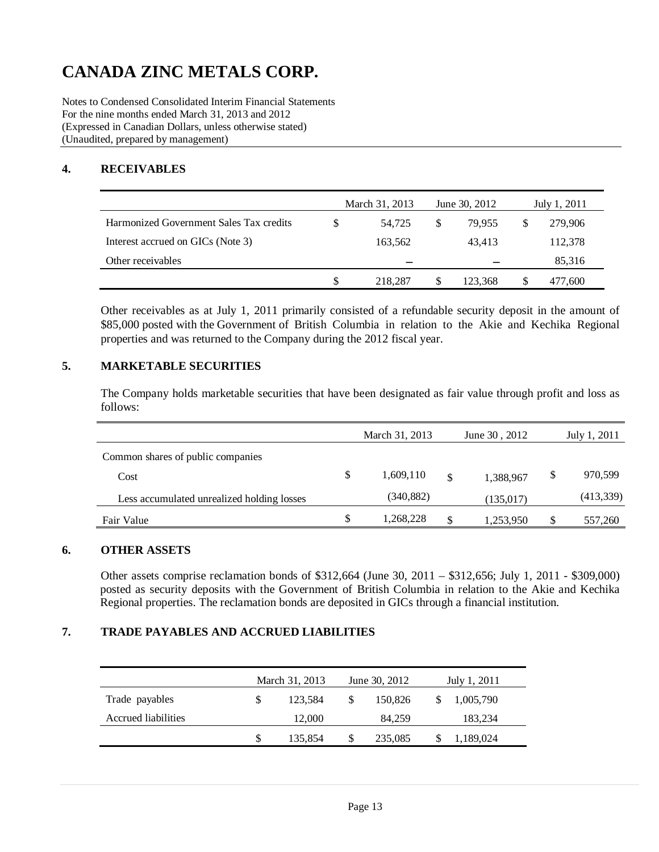Notes to Condensed Consolidated Interim Financial Statements For the nine months ended March 31, 2013 and 2012 (Expressed in Canadian Dollars, unless otherwise stated) (Unaudited, prepared by management)

### **4. RECEIVABLES**

|                                         | March 31, 2013 |    | June 30, 2012 | July 1, 2011 |         |
|-----------------------------------------|----------------|----|---------------|--------------|---------|
| Harmonized Government Sales Tax credits | 54.725         | \$ | 79.955        |              | 279,906 |
| Interest accrued on GICs (Note 3)       | 163,562        |    | 43.413        |              | 112,378 |
| Other receivables                       |                |    |               |              | 85,316  |
|                                         | \$<br>218,287  | S  | 123.368       |              | 477,600 |

Other receivables as at July 1, 2011 primarily consisted of a refundable security deposit in the amount of \$85,000 posted with the Government of British Columbia in relation to the Akie and Kechika Regional properties and was returned to the Company during the 2012 fiscal year.

### **5. MARKETABLE SECURITIES**

The Company holds marketable securities that have been designated as fair value through profit and loss as follows:

|                                            | March 31, 2013  | June 30, 2012<br>July 1, 2011 |            |    |           |
|--------------------------------------------|-----------------|-------------------------------|------------|----|-----------|
| Common shares of public companies          |                 |                               |            |    |           |
| Cost                                       | \$<br>1,609,110 | \$                            | 1,388,967  | \$ | 970,599   |
| Less accumulated unrealized holding losses | (340, 882)      |                               | (135, 017) |    | (413,339) |
| Fair Value                                 | \$<br>1,268,228 | \$                            | 1,253,950  | S  | 557,260   |

### **6. OTHER ASSETS**

Other assets comprise reclamation bonds of \$312,664 (June 30, 2011 – \$312,656; July 1, 2011 - \$309,000) posted as security deposits with the Government of British Columbia in relation to the Akie and Kechika Regional properties. The reclamation bonds are deposited in GICs through a financial institution.

### **7. TRADE PAYABLES AND ACCRUED LIABILITIES**

|                     | March 31, 2013 |         |               | June 30, 2012 | July 1, 2011 |           |  |
|---------------------|----------------|---------|---------------|---------------|--------------|-----------|--|
| Trade payables      | S              | 123.584 | <sup>\$</sup> | 150,826       |              | 1,005,790 |  |
| Accrued liabilities |                | 12,000  |               | 84.259        |              | 183,234   |  |
|                     | \$             | 135,854 | \$            | 235,085       |              | 1,189,024 |  |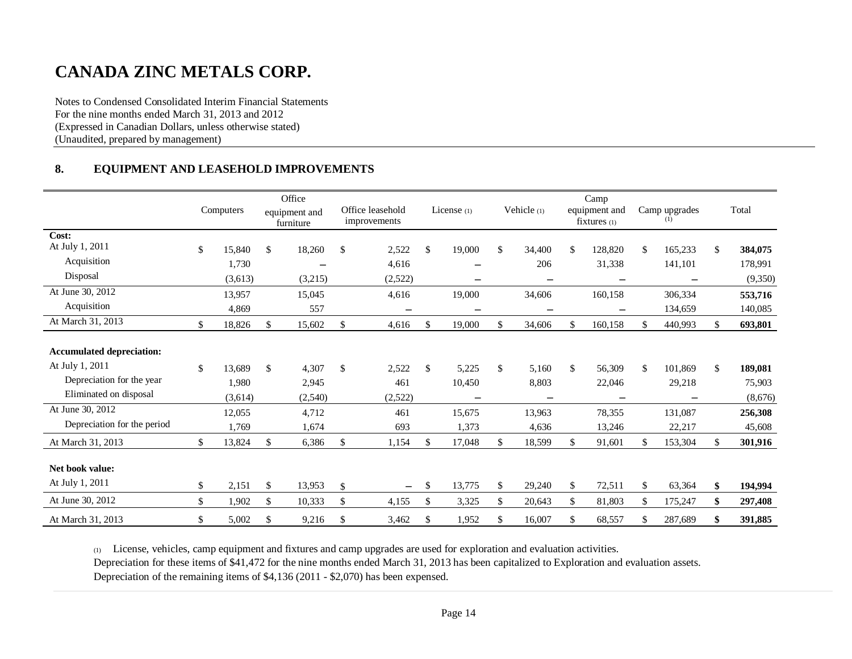Notes to Condensed Consolidated Interim Financial Statements For the nine months ended March 31, 2013 and 2012 (Expressed in Canadian Dollars, unless otherwise stated) (Unaudited, prepared by management)

### **8. EQUIPMENT AND LEASEHOLD IMPROVEMENTS**

|                                    | Computers    | Office<br>equipment and<br>furniture | Office leasehold<br>improvements | License $(1)$ | Vehicle (1)              | Camp<br>equipment and<br>$fixtures_{(1)}$ |     | Camp upgrades<br>(1) |     | Total   |
|------------------------------------|--------------|--------------------------------------|----------------------------------|---------------|--------------------------|-------------------------------------------|-----|----------------------|-----|---------|
| Cost:                              |              |                                      |                                  |               |                          |                                           |     |                      |     |         |
| At July 1, 2011                    | \$<br>15,840 | \$<br>18,260                         | \$<br>2,522                      | \$<br>19,000  | \$<br>34,400             | \$<br>128,820                             | \$  | 165,233              | \$  | 384,075 |
| Acquisition                        | 1,730        |                                      | 4,616                            | -             | 206                      | 31,338                                    |     | 141,101              |     | 178,991 |
| Disposal                           | (3,613)      | (3,215)                              | (2,522)                          | -             | $\overline{\phantom{m}}$ | $\qquad \qquad -$                         |     | $\qquad \qquad -$    |     | (9,350) |
| At June 30, 2012                   | 13,957       | 15,045                               | 4,616                            | 19,000        | 34,606                   | 160,158                                   |     | 306,334              |     | 553,716 |
| Acquisition                        | 4,869        | 557                                  | $\qquad \qquad -$                |               |                          |                                           |     | 134,659              |     | 140,085 |
| At March 31, 2013                  | \$<br>18,826 | \$<br>15,602                         | \$<br>4,616                      | \$<br>19,000  | \$<br>34,606             | 160,158                                   | \$. | 440,993              | \$. | 693,801 |
| <b>Accumulated depreciation:</b>   |              |                                      |                                  |               |                          |                                           |     |                      |     |         |
| At July 1, 2011                    | \$<br>13,689 | \$<br>4,307                          | \$<br>2,522                      | \$<br>5,225   | \$<br>5,160              | \$<br>56,309                              | \$  | 101,869              | \$  | 189,081 |
| Depreciation for the year          | 1,980        | 2,945                                | 461                              | 10,450        | 8,803                    | 22,046                                    |     | 29,218               |     | 75,903  |
| Eliminated on disposal             | (3,614)      | (2,540)                              | (2,522)                          |               |                          |                                           |     |                      |     | (8,676) |
| At June 30, 2012                   | 12,055       | 4,712                                | 461                              | 15,675        | 13,963                   | 78,355                                    |     | 131,087              |     | 256,308 |
| Depreciation for the period        | 1,769        | 1,674                                | 693                              | 1,373         | 4,636                    | 13,246                                    |     | 22,217               |     | 45,608  |
| At March 31, 2013                  | \$<br>13,824 | \$<br>6,386                          | \$<br>1,154                      | \$<br>17,048  | \$<br>18,599             | \$<br>91,601                              | \$  | 153,304              | \$  | 301,916 |
| Net book value:<br>At July 1, 2011 | \$<br>2,151  | \$<br>13,953                         | \$<br>$\overline{\phantom{m}}$   | \$<br>13,775  | \$<br>29,240             | \$<br>72,511                              | \$  | 63,364               | \$  | 194,994 |
| At June 30, 2012                   | \$<br>1,902  | \$<br>10,333                         | \$<br>4,155                      | \$<br>3,325   | \$<br>20,643             | \$<br>81,803                              | \$  | 175,247              | \$  | 297,408 |
| At March 31, 2013                  | \$<br>5,002  | \$<br>9,216                          | \$<br>3,462                      | \$<br>1,952   | \$<br>16,007             | \$<br>68,557                              | S   | 287,689              | \$  | 391,885 |

(1) License, vehicles, camp equipment and fixtures and camp upgrades are used for exploration and evaluation activities.

Depreciation for these items of \$41,472 for the nine months ended March 31, 2013 has been capitalized to Exploration and evaluation assets.

Depreciation of the remaining items of \$4,136 (2011 - \$2,070) has been expensed.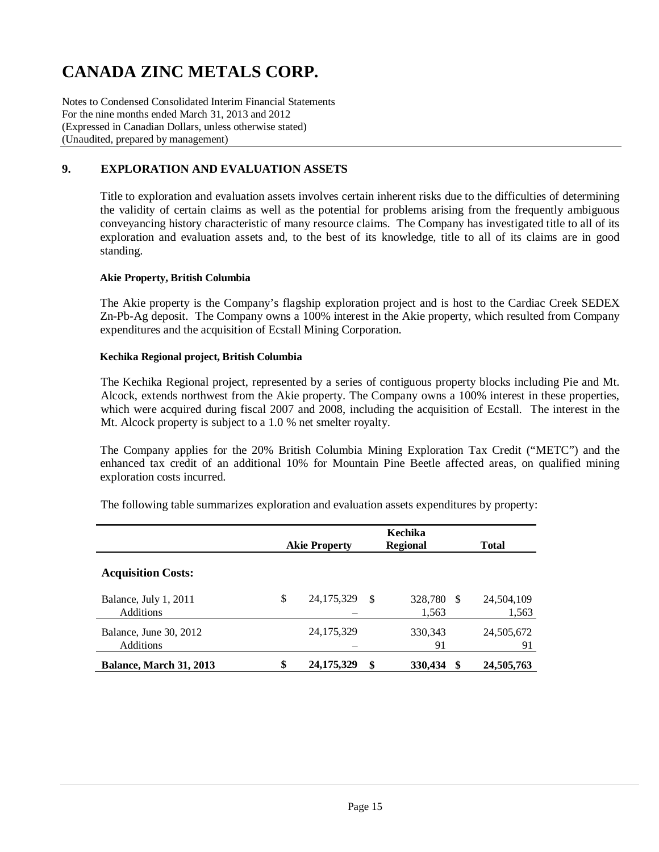Notes to Condensed Consolidated Interim Financial Statements For the nine months ended March 31, 2013 and 2012 (Expressed in Canadian Dollars, unless otherwise stated) (Unaudited, prepared by management)

### **9. EXPLORATION AND EVALUATION ASSETS**

Title to exploration and evaluation assets involves certain inherent risks due to the difficulties of determining the validity of certain claims as well as the potential for problems arising from the frequently ambiguous conveyancing history characteristic of many resource claims. The Company has investigated title to all of its exploration and evaluation assets and, to the best of its knowledge, title to all of its claims are in good standing.

#### **Akie Property, British Columbia**

The Akie property is the Company's flagship exploration project and is host to the Cardiac Creek SEDEX Zn-Pb-Ag deposit. The Company owns a 100% interest in the Akie property, which resulted from Company expenditures and the acquisition of Ecstall Mining Corporation.

#### **Kechika Regional project, British Columbia**

The Kechika Regional project, represented by a series of contiguous property blocks including Pie and Mt. Alcock, extends northwest from the Akie property. The Company owns a 100% interest in these properties, which were acquired during fiscal 2007 and 2008, including the acquisition of Ecstall. The interest in the Mt. Alcock property is subject to a 1.0 % net smelter royalty.

The Company applies for the 20% British Columbia Mining Exploration Tax Credit ("METC") and the enhanced tax credit of an additional 10% for Mountain Pine Beetle affected areas, on qualified mining exploration costs incurred.

The following table summarizes exploration and evaluation assets expenditures by property:

|                                            | Kechika<br><b>Regional</b><br><b>Akie Property</b> |    |                  |    |                     |
|--------------------------------------------|----------------------------------------------------|----|------------------|----|---------------------|
| <b>Acquisition Costs:</b>                  |                                                    |    |                  |    |                     |
| Balance, July 1, 2011<br><b>Additions</b>  | \$<br>24, 175, 329                                 | -S | 328,780<br>1,563 | -S | 24,504,109<br>1,563 |
| Balance, June 30, 2012<br><b>Additions</b> | 24, 175, 329                                       |    | 330, 343<br>91   |    | 24,505,672<br>91    |
| <b>Balance, March 31, 2013</b>             | \$<br>24, 175, 329                                 | S  | 330,434          | \$ | 24,505,763          |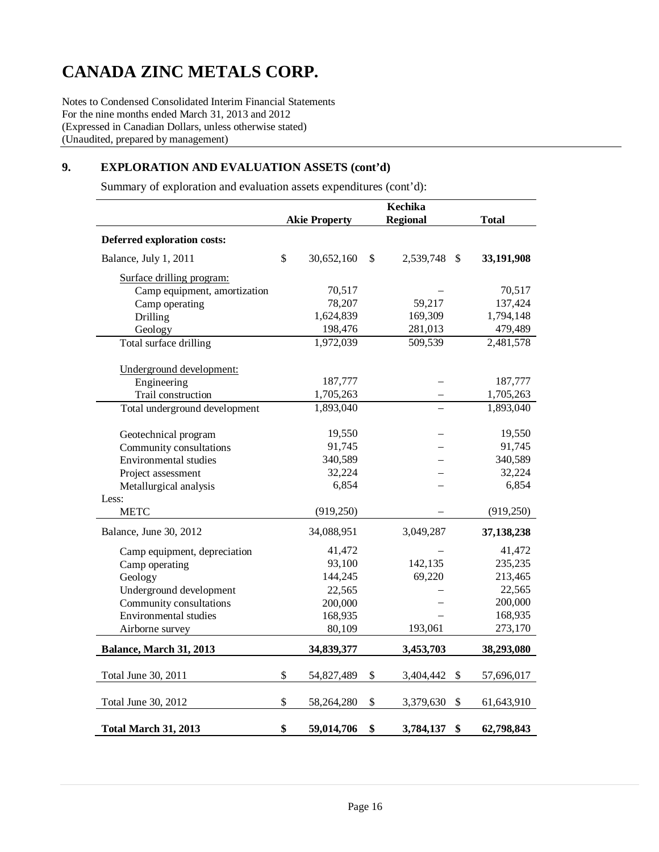Notes to Condensed Consolidated Interim Financial Statements For the nine months ended March 31, 2013 and 2012 (Expressed in Canadian Dollars, unless otherwise stated) (Unaudited, prepared by management)

## **9. EXPLORATION AND EVALUATION ASSETS (cont'd)**

Summary of exploration and evaluation assets expenditures (cont'd):

|                               | Kechika |                      |    |                            |              |
|-------------------------------|---------|----------------------|----|----------------------------|--------------|
|                               |         | <b>Akie Property</b> |    | <b>Regional</b>            | <b>Total</b> |
| Deferred exploration costs:   |         |                      |    |                            |              |
| Balance, July 1, 2011         | \$      | 30,652,160           | \$ | 2,539,748<br>$\mathcal{S}$ | 33,191,908   |
| Surface drilling program:     |         |                      |    |                            |              |
| Camp equipment, amortization  |         | 70,517               |    |                            | 70,517       |
| Camp operating                |         | 78,207               |    | 59,217                     | 137,424      |
| Drilling                      |         | 1,624,839            |    | 169,309                    | 1,794,148    |
| Geology                       |         | 198,476              |    | 281,013                    | 479,489      |
| Total surface drilling        |         | 1,972,039            |    | 509,539                    | 2,481,578    |
| Underground development:      |         |                      |    |                            |              |
| Engineering                   |         | 187,777              |    |                            | 187,777      |
| Trail construction            |         | 1,705,263            |    |                            | 1,705,263    |
| Total underground development |         | 1,893,040            |    |                            | 1,893,040    |
| Geotechnical program          |         | 19,550               |    |                            | 19,550       |
| Community consultations       |         | 91,745               |    |                            | 91,745       |
| Environmental studies         |         | 340,589              |    |                            | 340,589      |
| Project assessment            |         | 32,224               |    |                            | 32,224       |
| Metallurgical analysis        |         | 6,854                |    |                            | 6,854        |
| Less:                         |         |                      |    |                            |              |
| <b>METC</b>                   |         | (919, 250)           |    |                            | (919, 250)   |
| Balance, June 30, 2012        |         | 34,088,951           |    | 3,049,287                  | 37, 138, 238 |
| Camp equipment, depreciation  |         | 41,472               |    |                            | 41,472       |
| Camp operating                |         | 93,100               |    | 142,135                    | 235,235      |
| Geology                       |         | 144,245              |    | 69,220                     | 213,465      |
| Underground development       |         | 22,565               |    |                            | 22,565       |
| Community consultations       |         | 200,000              |    |                            | 200,000      |
| <b>Environmental studies</b>  |         | 168,935              |    |                            | 168,935      |
| Airborne survey               |         | 80,109               |    | 193,061                    | 273,170      |
| Balance, March 31, 2013       |         | 34,839,377           |    | 3,453,703                  | 38,293,080   |
| Total June 30, 2011           | \$      | 54,827,489           | \$ | 3,404,442<br>-S            | 57,696,017   |
|                               |         |                      |    |                            |              |
| Total June 30, 2012           | \$      | 58,264,280           | \$ | \$<br>3,379,630            | 61,643,910   |
| <b>Total March 31, 2013</b>   | \$      | 59,014,706           | \$ | \$<br>3,784,137            | 62,798,843   |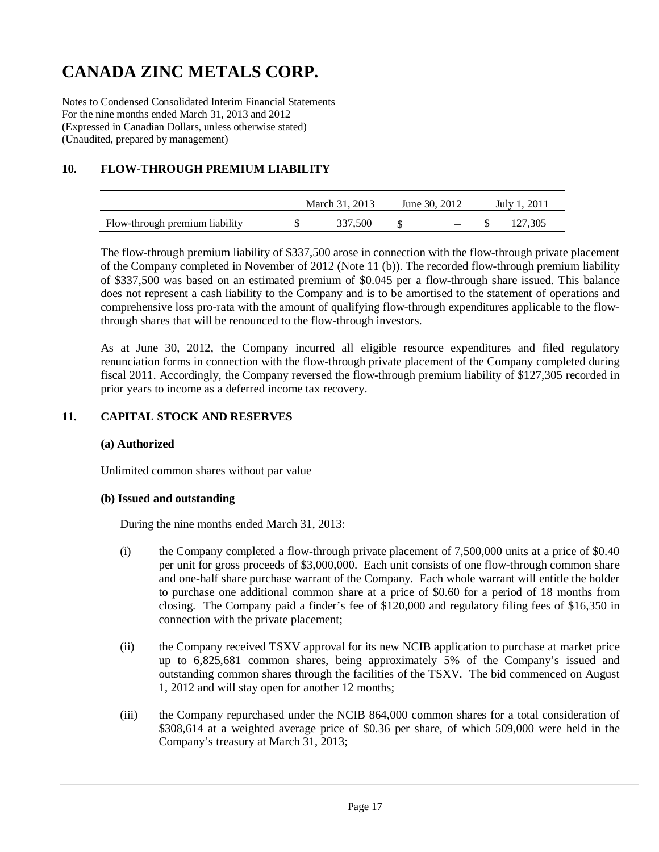Notes to Condensed Consolidated Interim Financial Statements For the nine months ended March 31, 2013 and 2012 (Expressed in Canadian Dollars, unless otherwise stated) (Unaudited, prepared by management)

## **10. FLOW-THROUGH PREMIUM LIABILITY**

|                                | March 31, 2013 | June 30, 2012 | July 1, 2011 |         |  |
|--------------------------------|----------------|---------------|--------------|---------|--|
| Flow-through premium liability | 337,500        | $\sim$ $\sim$ |              | 127.305 |  |

The flow-through premium liability of \$337,500 arose in connection with the flow-through private placement of the Company completed in November of 2012 (Note 11 (b)). The recorded flow-through premium liability of \$337,500 was based on an estimated premium of \$0.045 per a flow-through share issued. This balance does not represent a cash liability to the Company and is to be amortised to the statement of operations and comprehensive loss pro-rata with the amount of qualifying flow-through expenditures applicable to the flowthrough shares that will be renounced to the flow-through investors.

As at June 30, 2012, the Company incurred all eligible resource expenditures and filed regulatory renunciation forms in connection with the flow-through private placement of the Company completed during fiscal 2011. Accordingly, the Company reversed the flow-through premium liability of \$127,305 recorded in prior years to income as a deferred income tax recovery.

### **11. CAPITAL STOCK AND RESERVES**

### **(a) Authorized**

Unlimited common shares without par value

#### **(b) Issued and outstanding**

During the nine months ended March 31, 2013:

- (i) the Company completed a flow-through private placement of 7,500,000 units at a price of \$0.40 per unit for gross proceeds of \$3,000,000. Each unit consists of one flow-through common share and one-half share purchase warrant of the Company. Each whole warrant will entitle the holder to purchase one additional common share at a price of \$0.60 for a period of 18 months from closing. The Company paid a finder's fee of \$120,000 and regulatory filing fees of \$16,350 in connection with the private placement;
- (ii) the Company received TSXV approval for its new NCIB application to purchase at market price up to 6,825,681 common shares, being approximately 5% of the Company's issued and outstanding common shares through the facilities of the TSXV. The bid commenced on August 1, 2012 and will stay open for another 12 months;
- (iii) the Company repurchased under the NCIB 864,000 common shares for a total consideration of \$308,614 at a weighted average price of \$0.36 per share, of which 509,000 were held in the Company's treasury at March 31, 2013;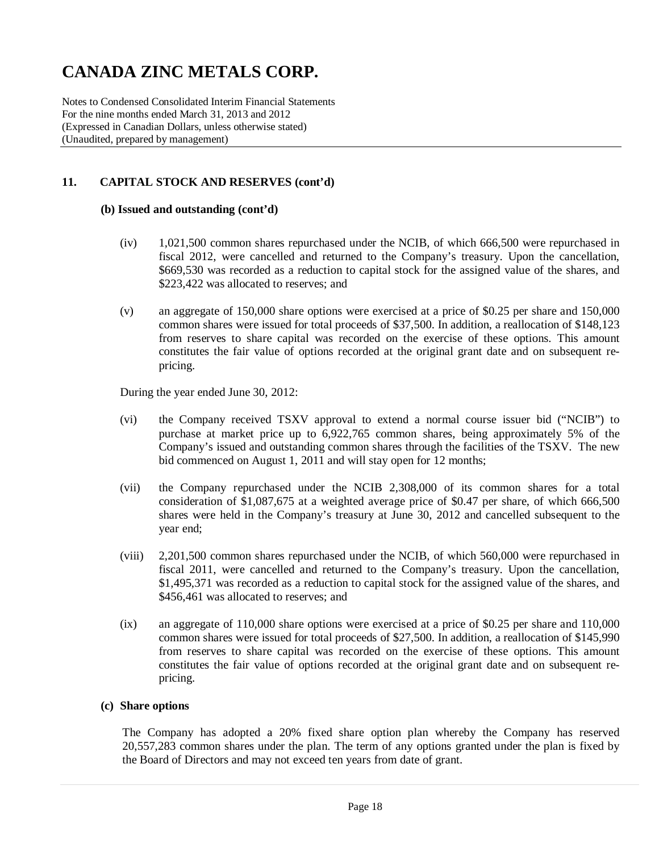Notes to Condensed Consolidated Interim Financial Statements For the nine months ended March 31, 2013 and 2012 (Expressed in Canadian Dollars, unless otherwise stated) (Unaudited, prepared by management)

### **11. CAPITAL STOCK AND RESERVES (cont'd)**

### **(b) Issued and outstanding (cont'd)**

- (iv) 1,021,500 common shares repurchased under the NCIB, of which 666,500 were repurchased in fiscal 2012, were cancelled and returned to the Company's treasury. Upon the cancellation, \$669,530 was recorded as a reduction to capital stock for the assigned value of the shares, and \$223,422 was allocated to reserves; and
- (v) an aggregate of 150,000 share options were exercised at a price of \$0.25 per share and 150,000 common shares were issued for total proceeds of \$37,500. In addition, a reallocation of \$148,123 from reserves to share capital was recorded on the exercise of these options. This amount constitutes the fair value of options recorded at the original grant date and on subsequent repricing.

During the year ended June 30, 2012:

- (vi) the Company received TSXV approval to extend a normal course issuer bid ("NCIB") to purchase at market price up to 6,922,765 common shares, being approximately 5% of the Company's issued and outstanding common shares through the facilities of the TSXV. The new bid commenced on August 1, 2011 and will stay open for 12 months;
- (vii) the Company repurchased under the NCIB 2,308,000 of its common shares for a total consideration of \$1,087,675 at a weighted average price of \$0.47 per share, of which 666,500 shares were held in the Company's treasury at June 30, 2012 and cancelled subsequent to the year end;
- (viii) 2,201,500 common shares repurchased under the NCIB, of which 560,000 were repurchased in fiscal 2011, were cancelled and returned to the Company's treasury. Upon the cancellation, \$1,495,371 was recorded as a reduction to capital stock for the assigned value of the shares, and \$456,461 was allocated to reserves; and
- (ix) an aggregate of 110,000 share options were exercised at a price of \$0.25 per share and 110,000 common shares were issued for total proceeds of \$27,500. In addition, a reallocation of \$145,990 from reserves to share capital was recorded on the exercise of these options. This amount constitutes the fair value of options recorded at the original grant date and on subsequent repricing.

#### **(c) Share options**

The Company has adopted a 20% fixed share option plan whereby the Company has reserved 20,557,283 common shares under the plan. The term of any options granted under the plan is fixed by the Board of Directors and may not exceed ten years from date of grant.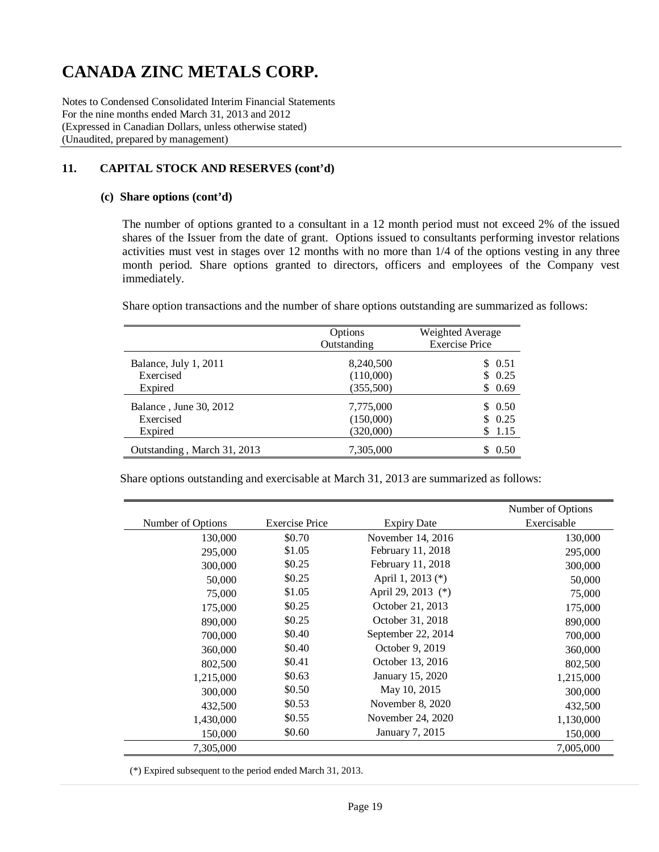Notes to Condensed Consolidated Interim Financial Statements For the nine months ended March 31, 2013 and 2012 (Expressed in Canadian Dollars, unless otherwise stated) (Unaudited, prepared by management)

### **11. CAPITAL STOCK AND RESERVES (cont'd)**

#### **(c) Share options (cont'd)**

The number of options granted to a consultant in a 12 month period must not exceed 2% of the issued shares of the Issuer from the date of grant. Options issued to consultants performing investor relations activities must vest in stages over 12 months with no more than 1/4 of the options vesting in any three month period. Share options granted to directors, officers and employees of the Company vest immediately.

Share option transactions and the number of share options outstanding are summarized as follows:

|                             | Options<br>Outstanding | Weighted Average<br><b>Exercise Price</b> |  |  |
|-----------------------------|------------------------|-------------------------------------------|--|--|
| Balance, July 1, 2011       | 8,240,500              | \$ 0.51                                   |  |  |
| Exercised                   | (110,000)              | \$0.25                                    |  |  |
| Expired                     | (355,500)              | \$0.69                                    |  |  |
| Balance, June 30, 2012      | 7,775,000              | \$0.50                                    |  |  |
| Exercised                   | (150,000)              | \$0.25                                    |  |  |
| Expired                     | (320,000)              | \$1.15                                    |  |  |
| Outstanding, March 31, 2013 | 7,305,000              | 0.50                                      |  |  |

Share options outstanding and exercisable at March 31, 2013 are summarized as follows:

|                   |                       |                    | Number of Options |
|-------------------|-----------------------|--------------------|-------------------|
| Number of Options | <b>Exercise Price</b> | <b>Expiry Date</b> | Exercisable       |
| 130,000           | \$0.70                | November 14, 2016  | 130,000           |
| 295,000           | \$1.05                | February 11, 2018  | 295,000           |
| 300,000           | \$0.25                | February 11, 2018  | 300,000           |
| 50,000            | \$0.25                | April 1, 2013 (*)  | 50,000            |
| 75,000            | \$1.05                | April 29, 2013 (*) | 75,000            |
| 175,000           | \$0.25                | October 21, 2013   | 175,000           |
| 890,000           | \$0.25                | October 31, 2018   | 890,000           |
| 700,000           | \$0.40                | September 22, 2014 | 700,000           |
| 360,000           | \$0.40                | October 9, 2019    | 360,000           |
| 802,500           | \$0.41                | October 13, 2016   | 802,500           |
| 1,215,000         | \$0.63                | January 15, 2020   | 1,215,000         |
| 300,000           | \$0.50                | May 10, 2015       | 300,000           |
| 432,500           | \$0.53                | November $8, 2020$ | 432,500           |
| 1,430,000         | \$0.55                | November 24, 2020  | 1,130,000         |
| 150,000           | \$0.60                | January 7, 2015    | 150,000           |
| 7,305,000         |                       |                    | 7,005,000         |

(\*) Expired subsequent to the period ended March 31, 2013.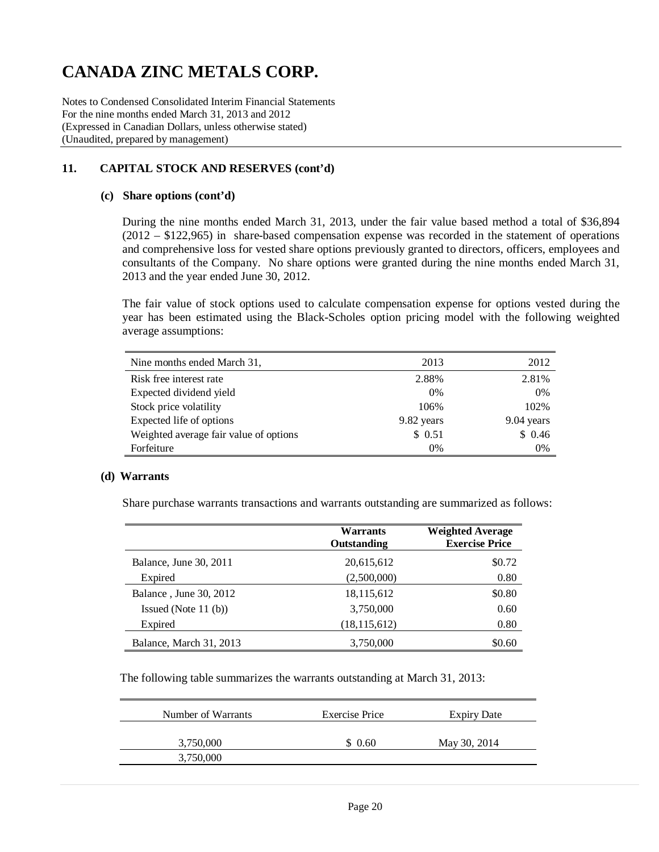Notes to Condensed Consolidated Interim Financial Statements For the nine months ended March 31, 2013 and 2012 (Expressed in Canadian Dollars, unless otherwise stated) (Unaudited, prepared by management)

## **11. CAPITAL STOCK AND RESERVES (cont'd)**

#### **(c) Share options (cont'd)**

During the nine months ended March 31, 2013, under the fair value based method a total of \$36,894 (2012 – \$122,965) in share-based compensation expense was recorded in the statement of operations and comprehensive loss for vested share options previously granted to directors, officers, employees and consultants of the Company. No share options were granted during the nine months ended March 31, 2013 and the year ended June 30, 2012.

The fair value of stock options used to calculate compensation expense for options vested during the year has been estimated using the Black-Scholes option pricing model with the following weighted average assumptions:

| Nine months ended March 31,            | 2013       | 2012       |
|----------------------------------------|------------|------------|
| Risk free interest rate                | 2.88%      | 2.81%      |
| Expected dividend yield                | 0%         | 0%         |
| Stock price volatility                 | 106%       | 102%       |
| Expected life of options               | 9.82 years | 9.04 years |
| Weighted average fair value of options | \$0.51     | \$0.46     |
| Forfeiture                             | 0%         | 0%         |

### **(d) Warrants**

Share purchase warrants transactions and warrants outstanding are summarized as follows:

|                         | Warrants<br><b>Outstanding</b> | <b>Weighted Average</b><br><b>Exercise Price</b> |
|-------------------------|--------------------------------|--------------------------------------------------|
| Balance, June 30, 2011  | 20,615,612                     | \$0.72                                           |
| Expired                 | (2,500,000)                    | 0.80                                             |
| Balance, June 30, 2012  | 18,115,612                     | \$0.80                                           |
| Issued (Note $11$ (b))  | 3,750,000                      | 0.60                                             |
| Expired                 | (18, 115, 612)                 | 0.80                                             |
| Balance, March 31, 2013 | 3,750,000                      | \$0.60                                           |

The following table summarizes the warrants outstanding at March 31, 2013:

| <b>Exercise Price</b> | Expiry Date  |
|-----------------------|--------------|
| \$0.60                | May 30, 2014 |
|                       |              |
|                       |              |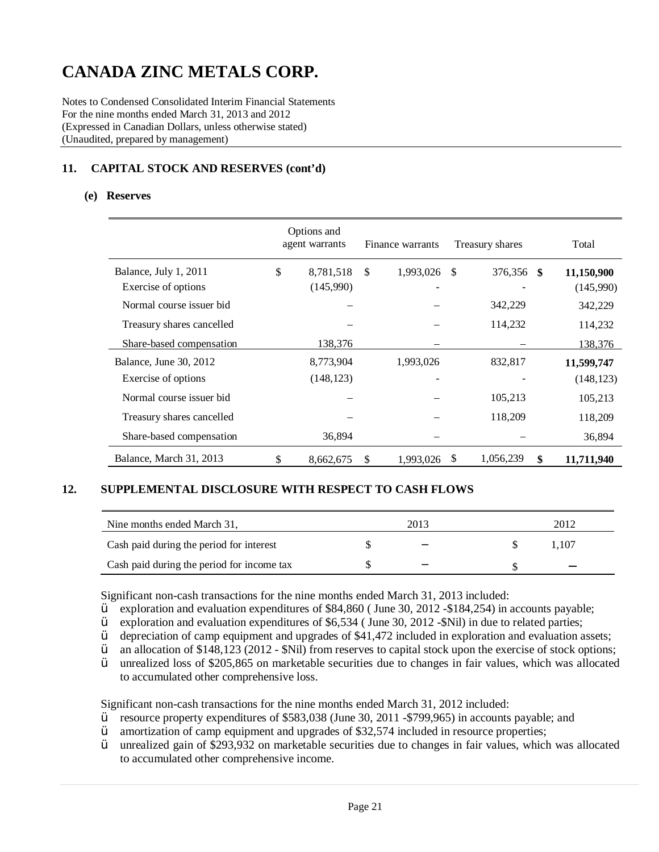Notes to Condensed Consolidated Interim Financial Statements For the nine months ended March 31, 2013 and 2012 (Expressed in Canadian Dollars, unless otherwise stated) (Unaudited, prepared by management)

## **11. CAPITAL STOCK AND RESERVES (cont'd)**

#### **(e) Reserves**

|                           | Options and<br>agent warrants |               | Finance warrants |     | Treasury shares | Total      |
|---------------------------|-------------------------------|---------------|------------------|-----|-----------------|------------|
| Balance, July 1, 2011     | \$<br>8,781,518               | <sup>\$</sup> | 1,993,026        | -S  | 376,356<br>-SS  | 11,150,900 |
| Exercise of options       | (145,990)                     |               |                  |     |                 | (145,990)  |
| Normal course issuer bid  |                               |               |                  |     | 342,229         | 342,229    |
| Treasury shares cancelled |                               |               |                  |     | 114,232         | 114,232    |
| Share-based compensation  | 138,376                       |               |                  |     |                 | 138,376    |
| Balance, June 30, 2012    | 8,773,904                     |               | 1,993,026        |     | 832,817         | 11,599,747 |
| Exercise of options       | (148, 123)                    |               |                  |     |                 | (148, 123) |
| Normal course issuer bid  |                               |               |                  |     | 105,213         | 105,213    |
| Treasury shares cancelled |                               |               |                  |     | 118,209         | 118,209    |
| Share-based compensation  | 36,894                        |               |                  |     |                 | 36,894     |
| Balance, March 31, 2013   | \$<br>8,662,675               | <sup>\$</sup> | 1,993,026        | \$. | 1,056,239<br>\$ | 11,711,940 |

#### **12. SUPPLEMENTAL DISCLOSURE WITH RESPECT TO CASH FLOWS**

| Nine months ended March 31,                | 2013                     | 2012 |  |
|--------------------------------------------|--------------------------|------|--|
| Cash paid during the period for interest   | $\overline{\phantom{m}}$ | .107 |  |
| Cash paid during the period for income tax | -                        |      |  |

Significant non-cash transactions for the nine months ended March 31, 2013 included:<br> $\ddot{V}$  exploration and evaluation expenditures of \$84,860 (June 30, 2012, -\$184, 254) in

 $\ddot{Y}$  exploration and evaluation expenditures of \$84,860 (June 30, 2012 -\$184,254) in accounts payable;<br> $\ddot{Y}$  exploration and evaluation expenditures of \$6.534 (June 30, 2012 -\$Nil) in due to related parties:

- $\ddot{Y}$  exploration and evaluation expenditures of \$6,534 (June 30, 2012 -\$Nil) in due to related parties;<br> $\ddot{Y}$  depreciation of camp equipment and upgrades of \$41,472 included in exploration and evaluation a
- $\ddot{Y}$  depreciation of camp equipment and upgrades of \$41,472 included in exploration and evaluation assets;<br> $\ddot{Y}$  an allocation of \$148,123 (2012 \$Nil) from reserves to capital stock upon the exercise of stock opt
- $\ddot{Y}$  an allocation of \$148,123 (2012 \$Nil) from reserves to capital stock upon the exercise of stock options;<br> $\ddot{Y}$  unrealized loss of \$205.865 on marketable securities due to changes in fair values, which was al
- unrealized loss of \$205,865 on marketable securities due to changes in fair values, which was allocated to accumulated other comprehensive loss.

Significant non-cash transactions for the nine months ended March 31, 2012 included:

- $\ddot{Y}$  resource property expenditures of \$583,038 (June 30, 2011 \$799,965) in accounts payable; and amortization of camp equipment and upgrades of \$32,574 included in resource properties:
- $\ddot{Y}$  amortization of camp equipment and upgrades of \$32,574 included in resource properties;<br> $\ddot{Y}$  unrealized gain of \$293,932 on marketable securities due to changes in fair values, which
- unrealized gain of \$293,932 on marketable securities due to changes in fair values, which was allocated to accumulated other comprehensive income.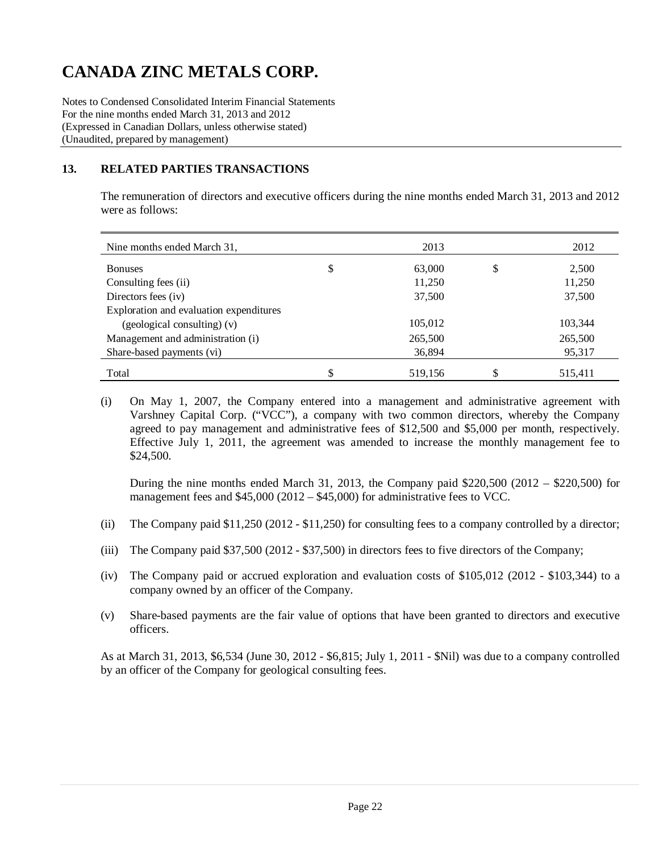Notes to Condensed Consolidated Interim Financial Statements For the nine months ended March 31, 2013 and 2012 (Expressed in Canadian Dollars, unless otherwise stated) (Unaudited, prepared by management)

### **13. RELATED PARTIES TRANSACTIONS**

The remuneration of directors and executive officers during the nine months ended March 31, 2013 and 2012 were as follows:

| Nine months ended March 31,             | 2013         | 2012        |
|-----------------------------------------|--------------|-------------|
| <b>Bonuses</b>                          | \$<br>63,000 | \$<br>2,500 |
| Consulting fees (ii)                    | 11,250       | 11,250      |
| Directors fees (iv)                     | 37,500       | 37,500      |
| Exploration and evaluation expenditures |              |             |
| (geological consulting) (v)             | 105,012      | 103,344     |
| Management and administration (i)       | 265,500      | 265,500     |
| Share-based payments (vi)               | 36,894       | 95,317      |
| Total                                   | 519,156      | 515,411     |

(i) On May 1, 2007, the Company entered into a management and administrative agreement with Varshney Capital Corp. ("VCC"), a company with two common directors, whereby the Company agreed to pay management and administrative fees of \$12,500 and \$5,000 per month, respectively. Effective July 1, 2011, the agreement was amended to increase the monthly management fee to \$24,500.

During the nine months ended March 31, 2013, the Company paid \$220,500 (2012 – \$220,500) for management fees and \$45,000 (2012 – \$45,000) for administrative fees to VCC.

- (ii) The Company paid \$11,250 (2012 \$11,250) for consulting fees to a company controlled by a director;
- (iii) The Company paid \$37,500 (2012 \$37,500) in directors fees to five directors of the Company;
- (iv) The Company paid or accrued exploration and evaluation costs of \$105,012 (2012 \$103,344) to a company owned by an officer of the Company.
- (v) Share-based payments are the fair value of options that have been granted to directors and executive officers.

As at March 31, 2013, \$6,534 (June 30, 2012 - \$6,815; July 1, 2011 - \$Nil) was due to a company controlled by an officer of the Company for geological consulting fees.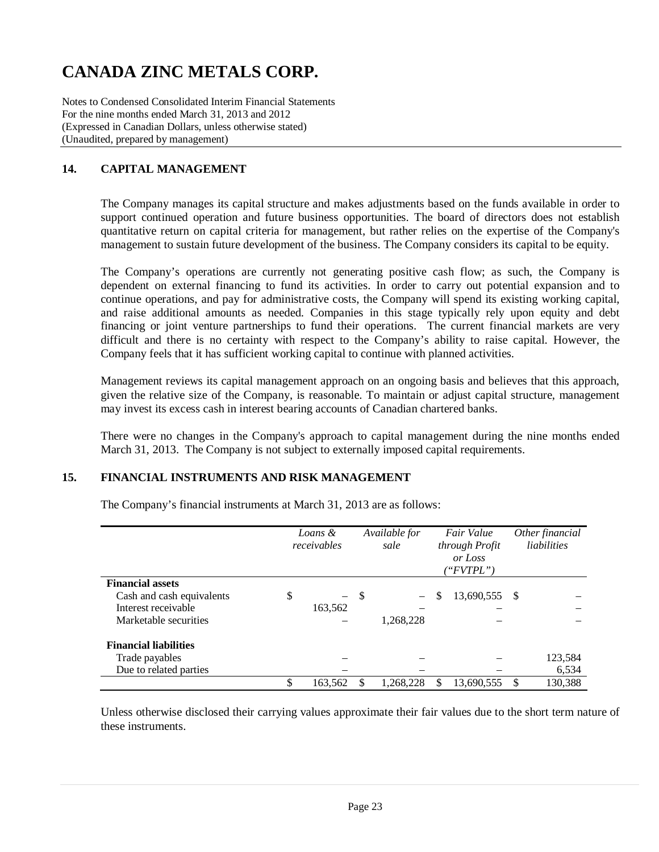Notes to Condensed Consolidated Interim Financial Statements For the nine months ended March 31, 2013 and 2012 (Expressed in Canadian Dollars, unless otherwise stated) (Unaudited, prepared by management)

## **14. CAPITAL MANAGEMENT**

The Company manages its capital structure and makes adjustments based on the funds available in order to support continued operation and future business opportunities. The board of directors does not establish quantitative return on capital criteria for management, but rather relies on the expertise of the Company's management to sustain future development of the business. The Company considers its capital to be equity.

The Company's operations are currently not generating positive cash flow; as such, the Company is dependent on external financing to fund its activities. In order to carry out potential expansion and to continue operations, and pay for administrative costs, the Company will spend its existing working capital, and raise additional amounts as needed. Companies in this stage typically rely upon equity and debt financing or joint venture partnerships to fund their operations. The current financial markets are very difficult and there is no certainty with respect to the Company's ability to raise capital. However, the Company feels that it has sufficient working capital to continue with planned activities.

Management reviews its capital management approach on an ongoing basis and believes that this approach, given the relative size of the Company, is reasonable. To maintain or adjust capital structure, management may invest its excess cash in interest bearing accounts of Canadian chartered banks.

There were no changes in the Company's approach to capital management during the nine months ended March 31, 2013. The Company is not subject to externally imposed capital requirements.

### **15. FINANCIAL INSTRUMENTS AND RISK MANAGEMENT**

|                              | Loans &<br>receivables         |      | Available for<br>sale    | Fair Value<br>through Profit<br>or Loss<br>("FVTPL") |     | Other financial<br>liabilities |
|------------------------------|--------------------------------|------|--------------------------|------------------------------------------------------|-----|--------------------------------|
| <b>Financial assets</b>      |                                |      |                          |                                                      |     |                                |
| Cash and cash equivalents    | \$<br>$\overline{\phantom{0}}$ | - \$ | $\overline{\phantom{0}}$ | \$<br>13,690,555                                     | - S |                                |
| Interest receivable          | 163,562                        |      |                          |                                                      |     |                                |
| Marketable securities        |                                |      | 1,268,228                |                                                      |     |                                |
| <b>Financial liabilities</b> |                                |      |                          |                                                      |     |                                |
| Trade payables               |                                |      |                          |                                                      |     | 123,584                        |
| Due to related parties       |                                |      |                          |                                                      |     | 6,534                          |
|                              | \$<br>163,562                  |      | 1,268,228                | \$<br>13,690,555                                     | \$  | 130.388                        |

The Company's financial instruments at March 31, 2013 are as follows:

Unless otherwise disclosed their carrying values approximate their fair values due to the short term nature of these instruments.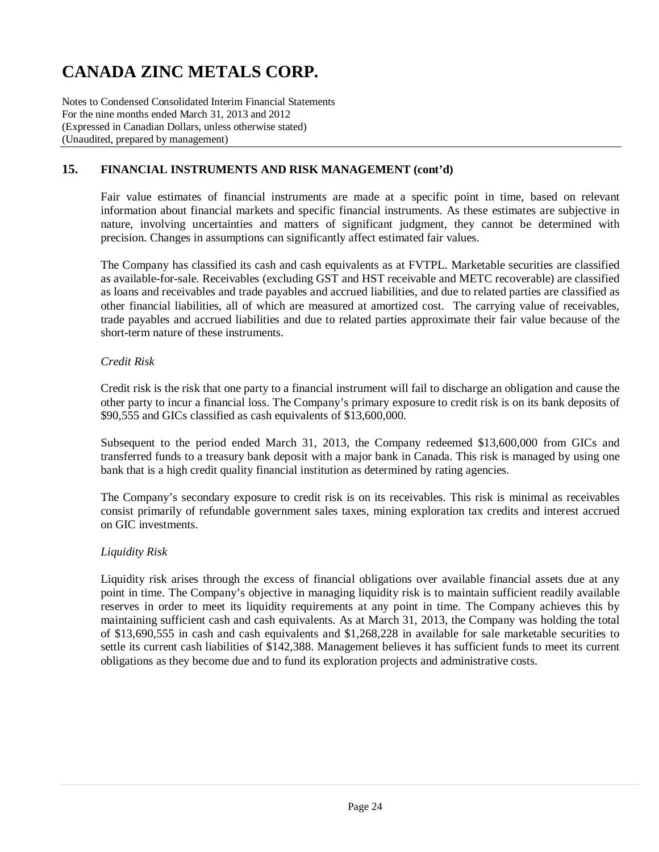Notes to Condensed Consolidated Interim Financial Statements For the nine months ended March 31, 2013 and 2012 (Expressed in Canadian Dollars, unless otherwise stated) (Unaudited, prepared by management)

### **15. FINANCIAL INSTRUMENTS AND RISK MANAGEMENT (cont'd)**

Fair value estimates of financial instruments are made at a specific point in time, based on relevant information about financial markets and specific financial instruments. As these estimates are subjective in nature, involving uncertainties and matters of significant judgment, they cannot be determined with precision. Changes in assumptions can significantly affect estimated fair values.

The Company has classified its cash and cash equivalents as at FVTPL. Marketable securities are classified as available-for-sale. Receivables (excluding GST and HST receivable and METC recoverable) are classified as loans and receivables and trade payables and accrued liabilities, and due to related parties are classified as other financial liabilities, all of which are measured at amortized cost. The carrying value of receivables, trade payables and accrued liabilities and due to related parties approximate their fair value because of the short-term nature of these instruments.

### *Credit Risk*

Credit risk is the risk that one party to a financial instrument will fail to discharge an obligation and cause the other party to incur a financial loss. The Company's primary exposure to credit risk is on its bank deposits of \$90,555 and GICs classified as cash equivalents of \$13,600,000.

Subsequent to the period ended March 31, 2013, the Company redeemed \$13,600,000 from GICs and transferred funds to a treasury bank deposit with a major bank in Canada. This risk is managed by using one bank that is a high credit quality financial institution as determined by rating agencies.

The Company's secondary exposure to credit risk is on its receivables. This risk is minimal as receivables consist primarily of refundable government sales taxes, mining exploration tax credits and interest accrued on GIC investments.

### *Liquidity Risk*

Liquidity risk arises through the excess of financial obligations over available financial assets due at any point in time. The Company's objective in managing liquidity risk is to maintain sufficient readily available reserves in order to meet its liquidity requirements at any point in time. The Company achieves this by maintaining sufficient cash and cash equivalents. As at March 31, 2013, the Company was holding the total of \$13,690,555 in cash and cash equivalents and \$1,268,228 in available for sale marketable securities to settle its current cash liabilities of \$142,388. Management believes it has sufficient funds to meet its current obligations as they become due and to fund its exploration projects and administrative costs.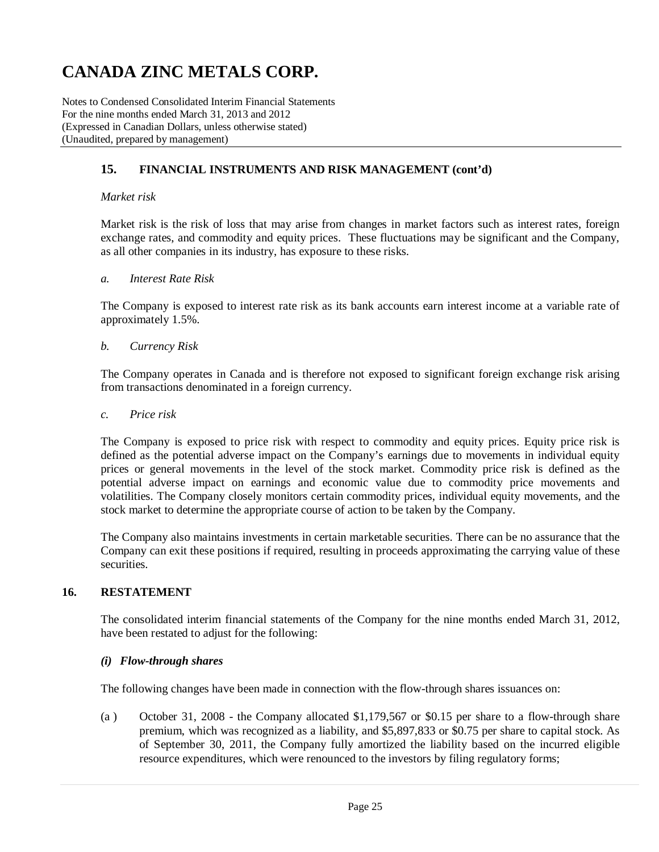Notes to Condensed Consolidated Interim Financial Statements For the nine months ended March 31, 2013 and 2012 (Expressed in Canadian Dollars, unless otherwise stated) (Unaudited, prepared by management)

### **15. FINANCIAL INSTRUMENTS AND RISK MANAGEMENT (cont'd)**

#### *Market risk*

Market risk is the risk of loss that may arise from changes in market factors such as interest rates, foreign exchange rates, and commodity and equity prices. These fluctuations may be significant and the Company, as all other companies in its industry, has exposure to these risks.

#### *a. Interest Rate Risk*

The Company is exposed to interest rate risk as its bank accounts earn interest income at a variable rate of approximately 1.5%.

#### *b. Currency Risk*

The Company operates in Canada and is therefore not exposed to significant foreign exchange risk arising from transactions denominated in a foreign currency.

#### *c. Price risk*

The Company is exposed to price risk with respect to commodity and equity prices. Equity price risk is defined as the potential adverse impact on the Company's earnings due to movements in individual equity prices or general movements in the level of the stock market. Commodity price risk is defined as the potential adverse impact on earnings and economic value due to commodity price movements and volatilities. The Company closely monitors certain commodity prices, individual equity movements, and the stock market to determine the appropriate course of action to be taken by the Company.

The Company also maintains investments in certain marketable securities. There can be no assurance that the Company can exit these positions if required, resulting in proceeds approximating the carrying value of these securities.

### **16. RESTATEMENT**

The consolidated interim financial statements of the Company for the nine months ended March 31, 2012, have been restated to adjust for the following:

#### *(i) Flow-through shares*

The following changes have been made in connection with the flow-through shares issuances on:

(a ) October 31, 2008 - the Company allocated \$1,179,567 or \$0.15 per share to a flow-through share premium, which was recognized as a liability, and \$5,897,833 or \$0.75 per share to capital stock. As of September 30, 2011, the Company fully amortized the liability based on the incurred eligible resource expenditures, which were renounced to the investors by filing regulatory forms;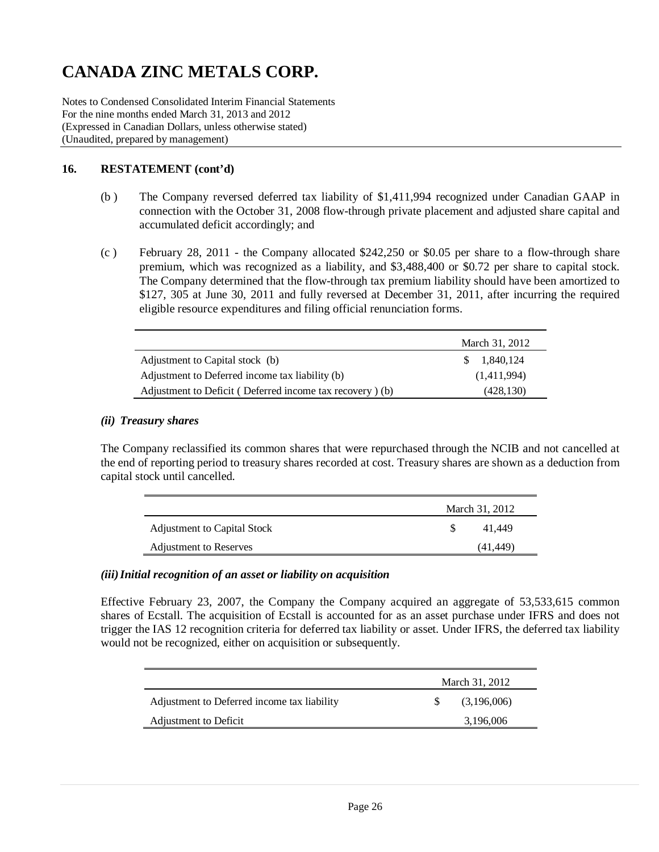Notes to Condensed Consolidated Interim Financial Statements For the nine months ended March 31, 2013 and 2012 (Expressed in Canadian Dollars, unless otherwise stated) (Unaudited, prepared by management)

### **16. RESTATEMENT (cont'd)**

- (b ) The Company reversed deferred tax liability of \$1,411,994 recognized under Canadian GAAP in connection with the October 31, 2008 flow-through private placement and adjusted share capital and accumulated deficit accordingly; and
- (c ) February 28, 2011 the Company allocated \$242,250 or \$0.05 per share to a flow-through share premium, which was recognized as a liability, and \$3,488,400 or \$0.72 per share to capital stock. The Company determined that the flow-through tax premium liability should have been amortized to \$127, 305 at June 30, 2011 and fully reversed at December 31, 2011, after incurring the required eligible resource expenditures and filing official renunciation forms.

|                                                          | March 31, 2012      |
|----------------------------------------------------------|---------------------|
| Adjustment to Capital stock (b)                          | $\frac{1,840,124}{$ |
| Adjustment to Deferred income tax liability (b)          | (1,411,994)         |
| Adjustment to Deficit (Deferred income tax recovery) (b) | (428, 130)          |

#### *(ii) Treasury shares*

The Company reclassified its common shares that were repurchased through the NCIB and not cancelled at the end of reporting period to treasury shares recorded at cost. Treasury shares are shown as a deduction from capital stock until cancelled.

|                               | March 31, 2012 |          |  |  |
|-------------------------------|----------------|----------|--|--|
| Adjustment to Capital Stock   |                | 41.449   |  |  |
| <b>Adjustment to Reserves</b> |                | (41.449) |  |  |

#### *(iii)Initial recognition of an asset or liability on acquisition*

Effective February 23, 2007, the Company the Company acquired an aggregate of 53,533,615 common shares of Ecstall. The acquisition of Ecstall is accounted for as an asset purchase under IFRS and does not trigger the IAS 12 recognition criteria for deferred tax liability or asset. Under IFRS, the deferred tax liability would not be recognized, either on acquisition or subsequently.

|                                             | March 31, 2012 |             |  |
|---------------------------------------------|----------------|-------------|--|
| Adjustment to Deferred income tax liability |                | (3,196,006) |  |
| Adjustment to Deficit                       |                | 3,196,006   |  |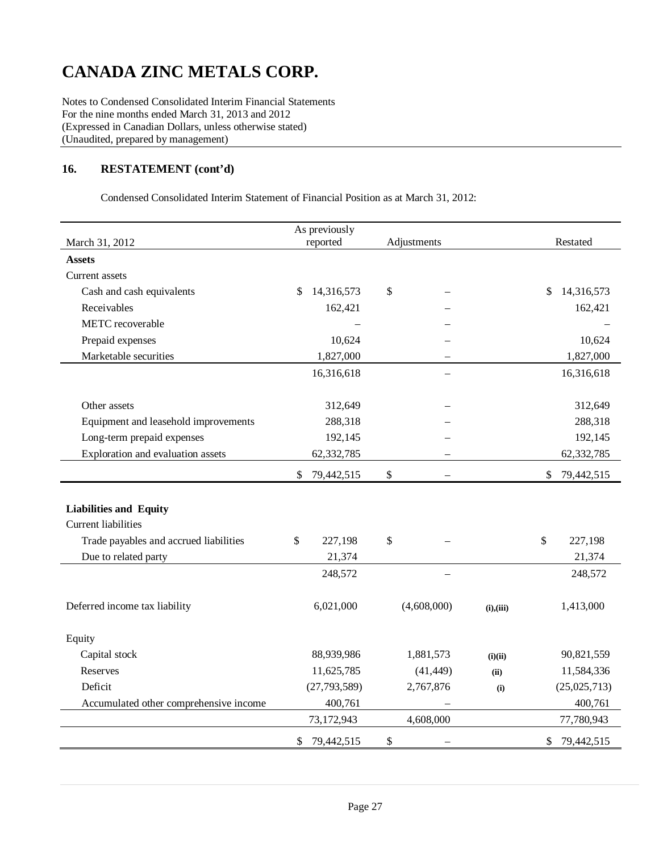Notes to Condensed Consolidated Interim Financial Statements For the nine months ended March 31, 2013 and 2012 (Expressed in Canadian Dollars, unless otherwise stated) (Unaudited, prepared by management)

### **16. RESTATEMENT (cont'd)**

Condensed Consolidated Interim Statement of Financial Position as at March 31, 2012:

| March 31, 2012                         | As previously<br>reported | Adjustments   | Restated   |                  |
|----------------------------------------|---------------------------|---------------|------------|------------------|
| <b>Assets</b>                          |                           |               |            |                  |
| Current assets                         |                           |               |            |                  |
| Cash and cash equivalents              | 14,316,573<br>\$          | \$            |            | 14,316,573<br>\$ |
| Receivables                            | 162,421                   |               |            | 162,421          |
| METC recoverable                       |                           |               |            |                  |
| Prepaid expenses                       | 10,624                    |               |            | 10,624           |
| Marketable securities                  | 1,827,000                 |               |            | 1,827,000        |
|                                        | 16,316,618                |               |            | 16,316,618       |
|                                        |                           |               |            |                  |
| Other assets                           | 312,649                   |               |            | 312,649          |
| Equipment and leasehold improvements   | 288,318                   |               |            | 288,318          |
| Long-term prepaid expenses             | 192,145                   |               |            | 192,145          |
| Exploration and evaluation assets      | 62,332,785                |               |            | 62,332,785       |
|                                        | 79,442,515<br>S           | $\mathcal{S}$ |            | \$<br>79,442,515 |
|                                        |                           |               |            |                  |
| <b>Liabilities and Equity</b>          |                           |               |            |                  |
| <b>Current liabilities</b>             |                           |               |            |                  |
| Trade payables and accrued liabilities | \$<br>227,198             | \$            |            | \$<br>227,198    |
| Due to related party                   | 21,374                    |               |            | 21,374           |
|                                        | 248,572                   |               |            | 248,572          |
|                                        |                           |               |            |                  |
| Deferred income tax liability          | 6,021,000                 | (4,608,000)   | (i), (iii) | 1,413,000        |
| Equity                                 |                           |               |            |                  |
| Capital stock                          | 88,939,986                | 1,881,573     | (i)(ii)    | 90,821,559       |
| Reserves                               | 11,625,785                | (41, 449)     | (ii)       | 11,584,336       |
| Deficit                                | (27, 793, 589)            | 2,767,876     | (i)        | (25,025,713)     |
| Accumulated other comprehensive income | 400,761                   |               |            | 400,761          |
|                                        | 73,172,943                | 4,608,000     |            | 77,780,943       |
|                                        | 79,442,515<br>\$          | \$            |            | \$<br>79,442,515 |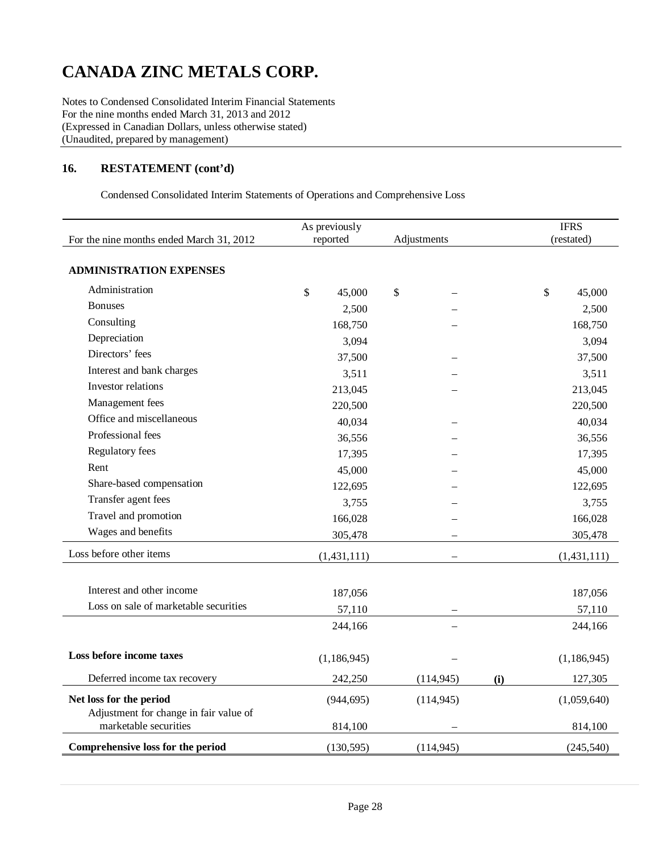Notes to Condensed Consolidated Interim Financial Statements For the nine months ended March 31, 2013 and 2012 (Expressed in Canadian Dollars, unless otherwise stated) (Unaudited, prepared by management)

#### **16. RESTATEMENT (cont'd)**

Condensed Consolidated Interim Statements of Operations and Comprehensive Loss

| For the nine months ended March 31, 2012                          | As previously<br>reported | Adjustments |     | <b>IFRS</b><br>(restated)           |  |
|-------------------------------------------------------------------|---------------------------|-------------|-----|-------------------------------------|--|
| <b>ADMINISTRATION EXPENSES</b>                                    |                           |             |     |                                     |  |
| Administration                                                    | \$<br>45,000              | \$          |     | $\boldsymbol{\mathsf{S}}$<br>45,000 |  |
| <b>Bonuses</b>                                                    | 2,500                     |             |     | 2,500                               |  |
| Consulting                                                        | 168,750                   |             |     | 168,750                             |  |
| Depreciation                                                      | 3,094                     |             |     | 3,094                               |  |
| Directors' fees                                                   | 37,500                    |             |     | 37,500                              |  |
| Interest and bank charges                                         | 3,511                     |             |     | 3,511                               |  |
| Investor relations                                                | 213,045                   |             |     | 213,045                             |  |
| Management fees                                                   | 220,500                   |             |     | 220,500                             |  |
| Office and miscellaneous                                          | 40,034                    |             |     | 40,034                              |  |
| Professional fees                                                 | 36,556                    |             |     | 36,556                              |  |
| Regulatory fees                                                   | 17,395                    |             |     | 17,395                              |  |
| Rent                                                              | 45,000                    |             |     | 45,000                              |  |
| Share-based compensation                                          | 122,695                   |             |     | 122,695                             |  |
| Transfer agent fees                                               | 3,755                     |             |     | 3,755                               |  |
| Travel and promotion                                              | 166,028                   |             |     | 166,028                             |  |
| Wages and benefits                                                | 305,478                   |             |     | 305,478                             |  |
| Loss before other items                                           | (1,431,111)               |             |     | (1,431,111)                         |  |
| Interest and other income                                         | 187,056                   |             |     | 187,056                             |  |
| Loss on sale of marketable securities                             | 57,110                    |             |     | 57,110                              |  |
|                                                                   | 244,166                   |             |     | 244,166                             |  |
| Loss before income taxes                                          | (1, 186, 945)             |             |     | (1, 186, 945)                       |  |
| Deferred income tax recovery                                      | 242,250                   | (114, 945)  | (i) | 127,305                             |  |
| Net loss for the period<br>Adjustment for change in fair value of | (944, 695)                | (114, 945)  |     | (1,059,640)                         |  |
| marketable securities                                             | 814,100                   |             |     | 814,100                             |  |
| Comprehensive loss for the period                                 | (130, 595)                | (114, 945)  |     | (245, 540)                          |  |